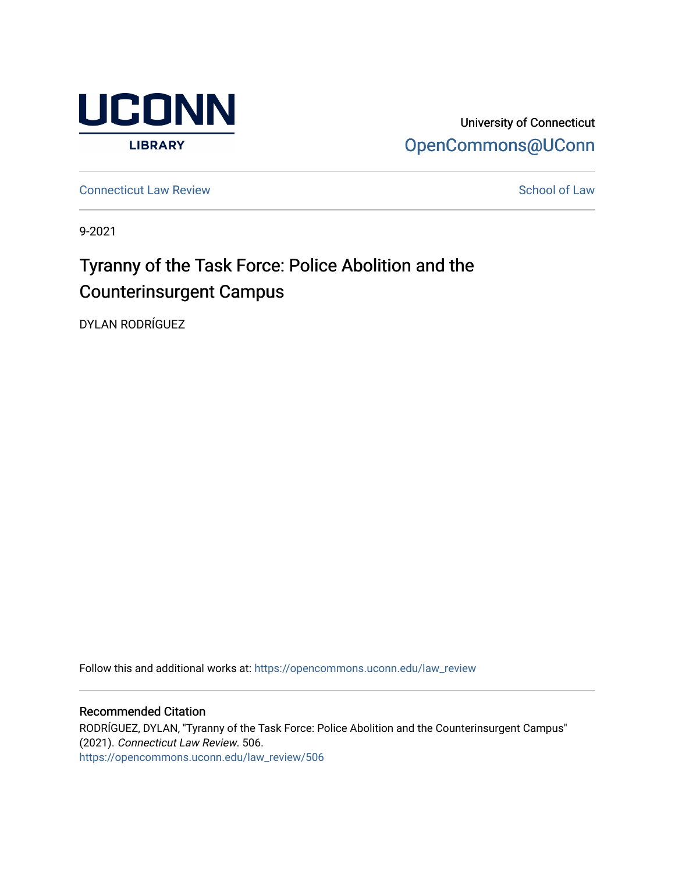

University of Connecticut [OpenCommons@UConn](https://opencommons.uconn.edu/) 

**[Connecticut Law Review](https://opencommons.uconn.edu/law_review) [School of Law](https://opencommons.uconn.edu/sol) Review School of Law School of Law School of Law School of Law School of Law School of Law School of Law School of Law School of Law School of Law School of Law School of Law School of** 

9-2021

# Tyranny of the Task Force: Police Abolition and the Counterinsurgent Campus

DYLAN RODRÍGUEZ

Follow this and additional works at: [https://opencommons.uconn.edu/law\\_review](https://opencommons.uconn.edu/law_review?utm_source=opencommons.uconn.edu%2Flaw_review%2F506&utm_medium=PDF&utm_campaign=PDFCoverPages)

## Recommended Citation

RODRÍGUEZ, DYLAN, "Tyranny of the Task Force: Police Abolition and the Counterinsurgent Campus" (2021). Connecticut Law Review. 506. [https://opencommons.uconn.edu/law\\_review/506](https://opencommons.uconn.edu/law_review/506?utm_source=opencommons.uconn.edu%2Flaw_review%2F506&utm_medium=PDF&utm_campaign=PDFCoverPages)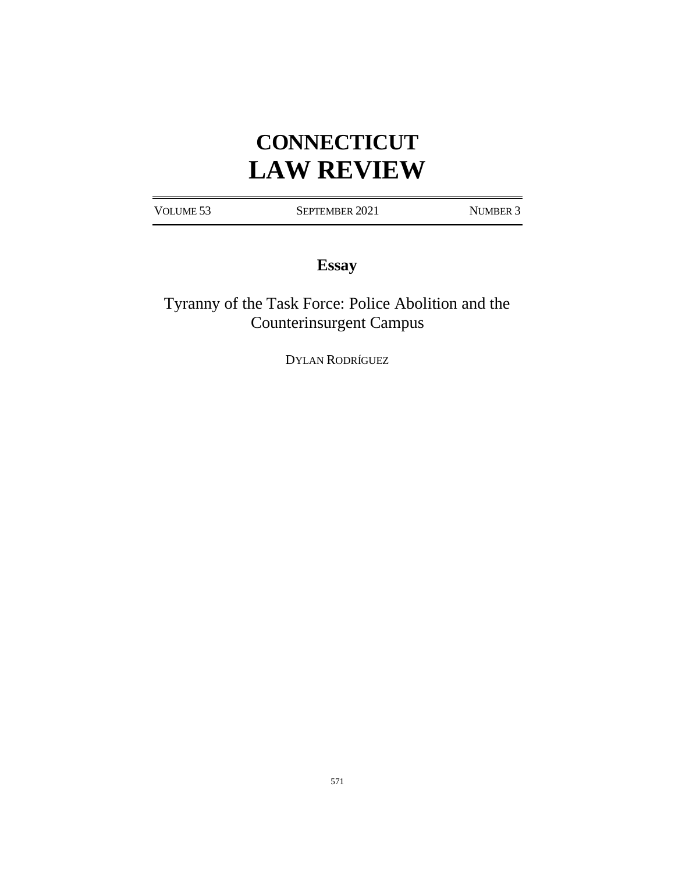# **CONNECTICUT LAW REVIEW**

VOLUME 53 SEPTEMBER 2021 NUMBER 3

# **Essay**

Tyranny of the Task Force: Police Abolition and the Counterinsurgent Campus

DYLAN RODRÍGUEZ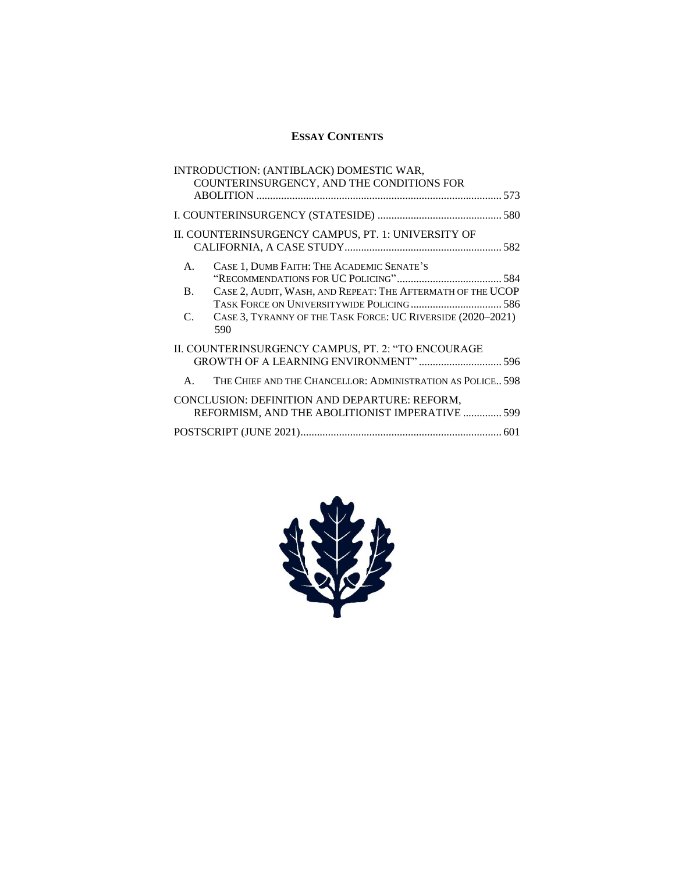# **ESSAY CONTENTS**

| INTRODUCTION: (ANTIBLACK) DOMESTIC WAR,<br>COUNTERINSURGENCY, AND THE CONDITIONS FOR             |  |  |  |  |
|--------------------------------------------------------------------------------------------------|--|--|--|--|
|                                                                                                  |  |  |  |  |
|                                                                                                  |  |  |  |  |
| II. COUNTERINSURGENCY CAMPUS, PT. 1: UNIVERSITY OF                                               |  |  |  |  |
| CASE 1, DUMB FAITH: THE ACADEMIC SENATE'S<br>$\mathsf{A}$ .                                      |  |  |  |  |
| CASE 2, AUDIT, WASH, AND REPEAT: THE AFTERMATH OF THE UCOP<br><b>B.</b>                          |  |  |  |  |
|                                                                                                  |  |  |  |  |
| CASE 3, TYRANNY OF THE TASK FORCE: UC RIVERSIDE (2020-2021)<br>C.<br>590                         |  |  |  |  |
| II. COUNTERINSURGENCY CAMPUS, PT. 2: "TO ENCOURAGE<br>GROWTH OF A LEARNING ENVIRONMENT"  596     |  |  |  |  |
| THE CHIEF AND THE CHANCELLOR: ADMINISTRATION AS POLICE 598<br>$\mathsf{A}$                       |  |  |  |  |
| CONCLUSION: DEFINITION AND DEPARTURE: REFORM,<br>REFORMISM, AND THE ABOLITIONIST IMPERATIVE  599 |  |  |  |  |
|                                                                                                  |  |  |  |  |
|                                                                                                  |  |  |  |  |

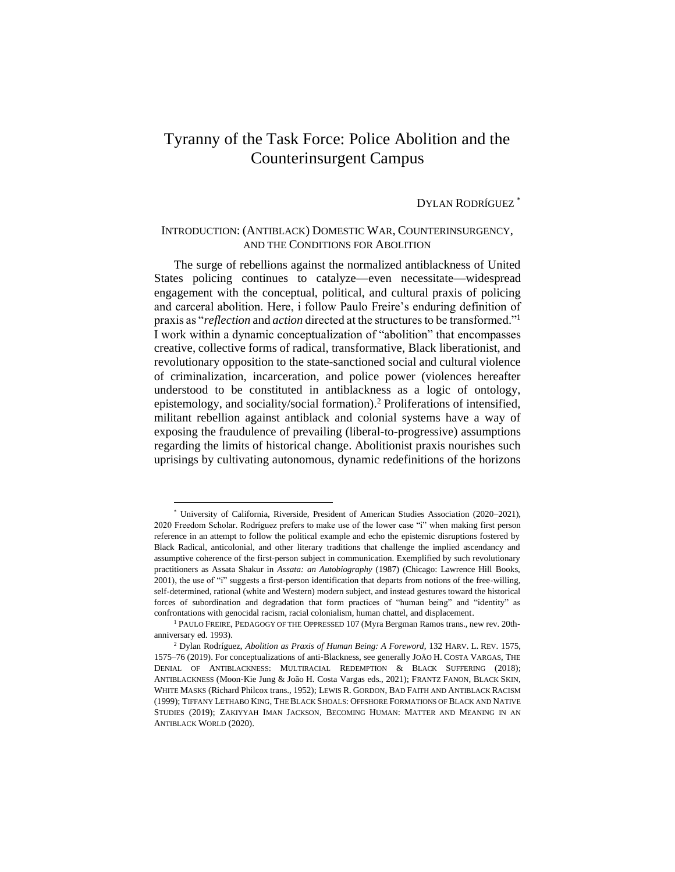# Tyranny of the Task Force: Police Abolition and the Counterinsurgent Campus

# DYLAN RODRÍGUEZ \*

## INTRODUCTION: (ANTIBLACK) DOMESTIC WAR, COUNTERINSURGENCY, AND THE CONDITIONS FOR ABOLITION

The surge of rebellions against the normalized antiblackness of United States policing continues to catalyze—even necessitate—widespread engagement with the conceptual, political, and cultural praxis of policing and carceral abolition. Here, i follow Paulo Freire's enduring definition of praxis as "*reflection* and *action* directed at the structures to be transformed."<sup>1</sup> I work within a dynamic conceptualization of "abolition" that encompasses creative, collective forms of radical, transformative, Black liberationist, and revolutionary opposition to the state-sanctioned social and cultural violence of criminalization, incarceration, and police power (violences hereafter understood to be constituted in antiblackness as a logic of ontology, epistemology, and sociality/social formation).<sup>2</sup> Proliferations of intensified, militant rebellion against antiblack and colonial systems have a way of exposing the fraudulence of prevailing (liberal-to-progressive) assumptions regarding the limits of historical change. Abolitionist praxis nourishes such uprisings by cultivating autonomous, dynamic redefinitions of the horizons

<sup>\*</sup> University of California, Riverside, President of American Studies Association (2020–2021), 2020 Freedom Scholar. Rodríguez prefers to make use of the lower case "i" when making first person reference in an attempt to follow the political example and echo the epistemic disruptions fostered by Black Radical, anticolonial, and other literary traditions that challenge the implied ascendancy and assumptive coherence of the first-person subject in communication. Exemplified by such revolutionary practitioners as Assata Shakur in *Assata: an Autobiography* (1987) (Chicago: Lawrence Hill Books, 2001), the use of "i" suggests a first-person identification that departs from notions of the free-willing, self-determined, rational (white and Western) modern subject, and instead gestures toward the historical forces of subordination and degradation that form practices of "human being" and "identity" as confrontations with genocidal racism, racial colonialism, human chattel, and displacement.

<sup>&</sup>lt;sup>1</sup> PAULO FREIRE, PEDAGOGY OF THE OPPRESSED 107 (Myra Bergman Ramos trans., new rev. 20thanniversary ed. 1993).

<sup>2</sup> Dylan Rodríguez, *Abolition as Praxis of Human Being: A Foreword*, 132 HARV. L. REV. 1575, 1575–76 (2019). For conceptualizations of anti-Blackness, see generally JOÃO H. COSTA VARGAS, THE DENIAL OF ANTIBLACKNESS: MULTIRACIAL REDEMPTION & BLACK SUFFERING (2018); ANTIBLACKNESS (Moon-Kie Jung & João H. Costa Vargas eds., 2021); FRANTZ FANON, BLACK SKIN, WHITE MASKS (Richard Philcox trans., 1952); LEWIS R. GORDON, BAD FAITH AND ANTIBLACK RACISM (1999); TIFFANY LETHABO KING, THE BLACK SHOALS: OFFSHORE FORMATIONS OF BLACK AND NATIVE STUDIES (2019); ZAKIYYAH IMAN JACKSON, BECOMING HUMAN: MATTER AND MEANING IN AN ANTIBLACK WORLD (2020).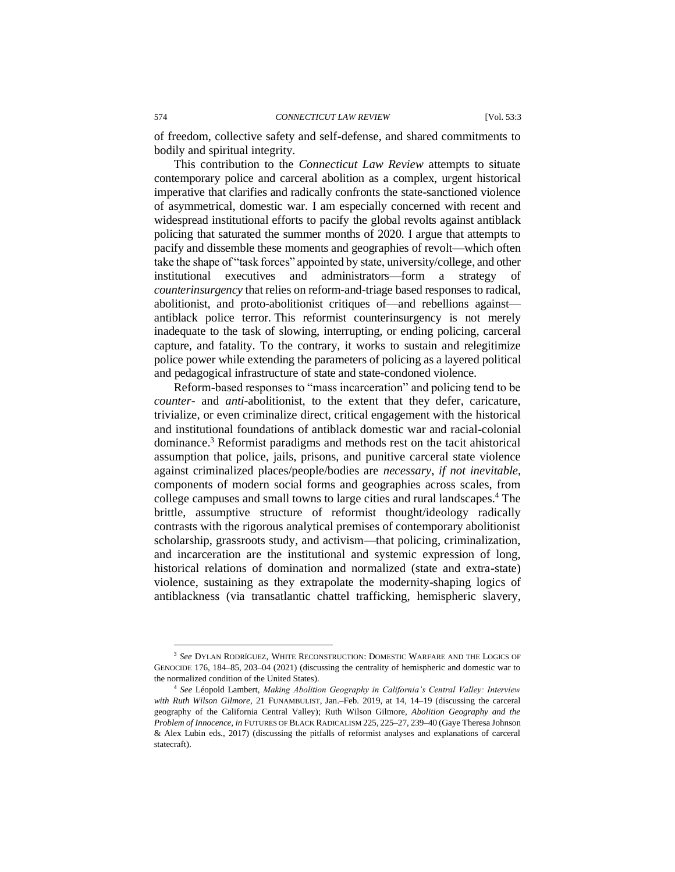of freedom, collective safety and self-defense, and shared commitments to bodily and spiritual integrity.

This contribution to the *Connecticut Law Review* attempts to situate contemporary police and carceral abolition as a complex, urgent historical imperative that clarifies and radically confronts the state-sanctioned violence of asymmetrical, domestic war. I am especially concerned with recent and widespread institutional efforts to pacify the global revolts against antiblack policing that saturated the summer months of 2020. I argue that attempts to pacify and dissemble these moments and geographies of revolt—which often take the shape of "task forces" appointed by state, university/college, and other institutional executives and administrators—form a strategy of *counterinsurgency* that relies on reform-and-triage based responses to radical, abolitionist, and proto-abolitionist critiques of—and rebellions against antiblack police terror. This reformist counterinsurgency is not merely inadequate to the task of slowing, interrupting, or ending policing, carceral capture, and fatality. To the contrary, it works to sustain and relegitimize police power while extending the parameters of policing as a layered political and pedagogical infrastructure of state and state-condoned violence.

Reform-based responses to "mass incarceration" and policing tend to be *counter*- and *anti*-abolitionist, to the extent that they defer, caricature, trivialize, or even criminalize direct, critical engagement with the historical and institutional foundations of antiblack domestic war and racial-colonial dominance.<sup>3</sup> Reformist paradigms and methods rest on the tacit ahistorical assumption that police, jails, prisons, and punitive carceral state violence against criminalized places/people/bodies are *necessary*, *if not inevitable*, components of modern social forms and geographies across scales, from college campuses and small towns to large cities and rural landscapes.<sup>4</sup> The brittle, assumptive structure of reformist thought/ideology radically contrasts with the rigorous analytical premises of contemporary abolitionist scholarship, grassroots study, and activism—that policing, criminalization, and incarceration are the institutional and systemic expression of long, historical relations of domination and normalized (state and extra-state) violence, sustaining as they extrapolate the modernity-shaping logics of antiblackness (via transatlantic chattel trafficking, hemispheric slavery,

<sup>3</sup> *See* DYLAN RODRÍGUEZ, WHITE RECONSTRUCTION: DOMESTIC WARFARE AND THE LOGICS OF GENOCIDE 176, 184–85, 203–04 (2021) (discussing the centrality of hemispheric and domestic war to the normalized condition of the United States).

<sup>4</sup> *See* Léopold Lambert, *Making Abolition Geography in California's Central Valley: Interview with Ruth Wilson Gilmore*, 21 FUNAMBULIST, Jan.–Feb. 2019, at 14, 14–19 (discussing the carceral geography of the California Central Valley); Ruth Wilson Gilmore, *Abolition Geography and the Problem of Innocence*, *in* FUTURES OF BLACK RADICALISM 225, 225–27, 239–40 (Gaye Theresa Johnson & Alex Lubin eds., 2017) (discussing the pitfalls of reformist analyses and explanations of carceral statecraft).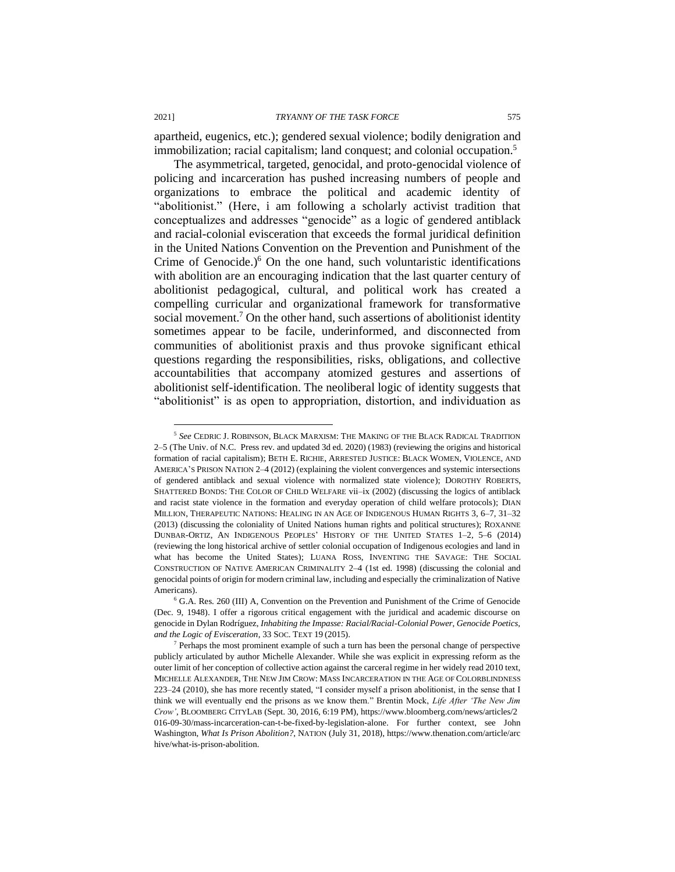apartheid, eugenics, etc.); gendered sexual violence; bodily denigration and immobilization; racial capitalism; land conquest; and colonial occupation.<sup>5</sup>

The asymmetrical, targeted, genocidal, and proto-genocidal violence of policing and incarceration has pushed increasing numbers of people and organizations to embrace the political and academic identity of "abolitionist." (Here, i am following a scholarly activist tradition that conceptualizes and addresses "genocide" as a logic of gendered antiblack and racial-colonial evisceration that exceeds the formal juridical definition in the United Nations Convention on the Prevention and Punishment of the Crime of Genocide.) $6$  On the one hand, such voluntaristic identifications with abolition are an encouraging indication that the last quarter century of abolitionist pedagogical, cultural, and political work has created a compelling curricular and organizational framework for transformative social movement.<sup>7</sup> On the other hand, such assertions of abolitionist identity sometimes appear to be facile, underinformed, and disconnected from communities of abolitionist praxis and thus provoke significant ethical questions regarding the responsibilities, risks, obligations, and collective accountabilities that accompany atomized gestures and assertions of abolitionist self-identification. The neoliberal logic of identity suggests that "abolitionist" is as open to appropriation, distortion, and individuation as

<sup>5</sup> *See* CEDRIC J. ROBINSON, BLACK MARXISM: THE MAKING OF THE BLACK RADICAL TRADITION 2–5 (The Univ. of N.C. Press rev. and updated 3d ed. 2020) (1983) (reviewing the origins and historical formation of racial capitalism); BETH E. RICHIE, ARRESTED JUSTICE: BLACK WOMEN, VIOLENCE, AND AMERICA'S PRISON NATION 2–4 (2012) (explaining the violent convergences and systemic intersections of gendered antiblack and sexual violence with normalized state violence); DOROTHY ROBERTS, SHATTERED BONDS: THE COLOR OF CHILD WELFARE vii–ix (2002) (discussing the logics of antiblack and racist state violence in the formation and everyday operation of child welfare protocols); DIAN MILLION, THERAPEUTIC NATIONS: HEALING IN AN AGE OF INDIGENOUS HUMAN RIGHTS 3, 6–7, 31–32 (2013) (discussing the coloniality of United Nations human rights and political structures); ROXANNE DUNBAR-ORTIZ, AN INDIGENOUS PEOPLES' HISTORY OF THE UNITED STATES 1–2, 5–6 (2014) (reviewing the long historical archive of settler colonial occupation of Indigenous ecologies and land in what has become the United States); LUANA ROSS, INVENTING THE SAVAGE: THE SOCIAL CONSTRUCTION OF NATIVE AMERICAN CRIMINALITY 2–4 (1st ed. 1998) (discussing the colonial and genocidal points of origin for modern criminal law, including and especially the criminalization of Native Americans).

<sup>6</sup> G.A. Res. 260 (III) A, Convention on the Prevention and Punishment of the Crime of Genocide (Dec. 9, 1948). I offer a rigorous critical engagement with the juridical and academic discourse on genocide in Dylan Rodríguez, *Inhabiting the Impasse: Racial/Racial-Colonial Power, Genocide Poetics, and the Logic of Evisceration*, 33 SOC. TEXT 19 (2015).

<sup>7</sup> Perhaps the most prominent example of such a turn has been the personal change of perspective publicly articulated by author Michelle Alexander. While she was explicit in expressing reform as the outer limit of her conception of collective action against the carceral regime in her widely read 2010 text, MICHELLE ALEXANDER, THE NEW JIM CROW: MASS INCARCERATION IN THE AGE OF COLORBLINDNESS 223–24 (2010), she has more recently stated, "I consider myself a prison abolitionist, in the sense that I think we will eventually end the prisons as we know them." Brentin Mock, *Life After 'The New Jim Crow'*, BLOOMBERG CITYLAB (Sept. 30, 2016, 6:19 PM), https://www.bloomberg.com/news/articles/2 016-09-30/mass-incarceration-can-t-be-fixed-by-legislation-alone. For further context, see John Washington, *What Is Prison Abolition?*, NATION (July 31, 2018), https://www.thenation.com/article/arc hive/what-is-prison-abolition.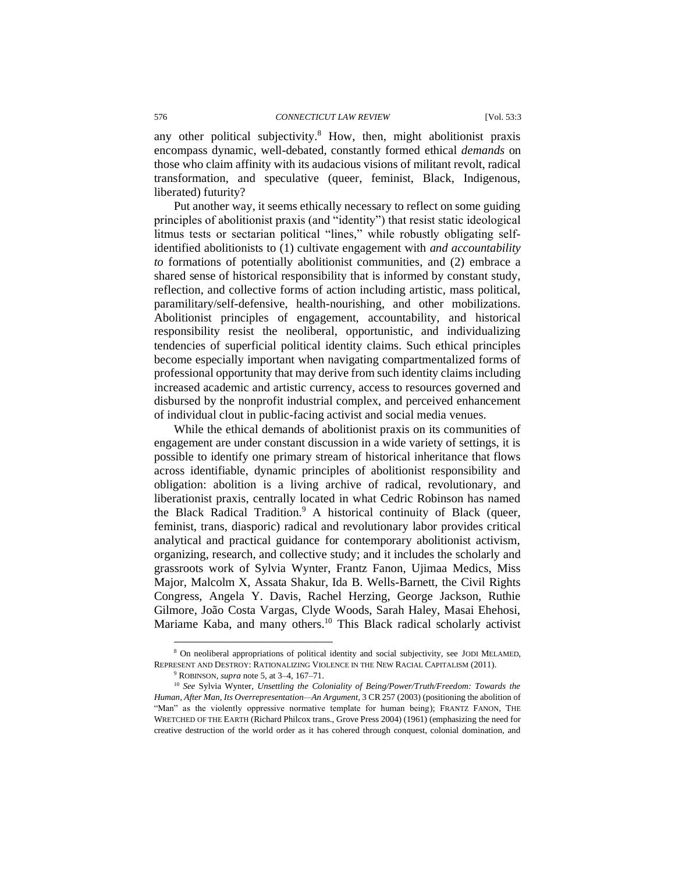any other political subjectivity.<sup>8</sup> How, then, might abolitionist praxis encompass dynamic, well-debated, constantly formed ethical *demands* on those who claim affinity with its audacious visions of militant revolt, radical transformation, and speculative (queer, feminist, Black, Indigenous, liberated) futurity?

Put another way, it seems ethically necessary to reflect on some guiding principles of abolitionist praxis (and "identity") that resist static ideological litmus tests or sectarian political "lines," while robustly obligating selfidentified abolitionists to (1) cultivate engagement with *and accountability to* formations of potentially abolitionist communities, and (2) embrace a shared sense of historical responsibility that is informed by constant study, reflection, and collective forms of action including artistic, mass political, paramilitary/self-defensive, health-nourishing, and other mobilizations. Abolitionist principles of engagement, accountability, and historical responsibility resist the neoliberal, opportunistic, and individualizing tendencies of superficial political identity claims. Such ethical principles become especially important when navigating compartmentalized forms of professional opportunity that may derive from such identity claims including increased academic and artistic currency, access to resources governed and disbursed by the nonprofit industrial complex, and perceived enhancement of individual clout in public-facing activist and social media venues.

While the ethical demands of abolitionist praxis on its communities of engagement are under constant discussion in a wide variety of settings, it is possible to identify one primary stream of historical inheritance that flows across identifiable, dynamic principles of abolitionist responsibility and obligation: abolition is a living archive of radical, revolutionary, and liberationist praxis, centrally located in what Cedric Robinson has named the Black Radical Tradition. $9$  A historical continuity of Black (queer, feminist, trans, diasporic) radical and revolutionary labor provides critical analytical and practical guidance for contemporary abolitionist activism, organizing, research, and collective study; and it includes the scholarly and grassroots work of Sylvia Wynter, Frantz Fanon, Ujimaa Medics, Miss Major, Malcolm X, Assata Shakur, Ida B. Wells-Barnett, the Civil Rights Congress, Angela Y. Davis, Rachel Herzing, George Jackson, Ruthie Gilmore, João Costa Vargas, Clyde Woods, Sarah Haley, Masai Ehehosi, Mariame Kaba, and many others.<sup>10</sup> This Black radical scholarly activist

<sup>8</sup> On neoliberal appropriations of political identity and social subjectivity, see JODI MELAMED, REPRESENT AND DESTROY: RATIONALIZING VIOLENCE IN THE NEW RACIAL CAPITALISM (2011).

<sup>9</sup> ROBINSON, *supra* note 5, at 3–4, 167–71.

<sup>10</sup> *See* Sylvia Wynter, *Unsettling the Coloniality of Being/Power/Truth/Freedom: Towards the Human, After Man, Its Overrepresentation—An Argument*, 3 CR 257 (2003) (positioning the abolition of "Man" as the violently oppressive normative template for human being); FRANTZ FANON, THE WRETCHED OF THE EARTH (Richard Philcox trans., Grove Press 2004) (1961) (emphasizing the need for creative destruction of the world order as it has cohered through conquest, colonial domination, and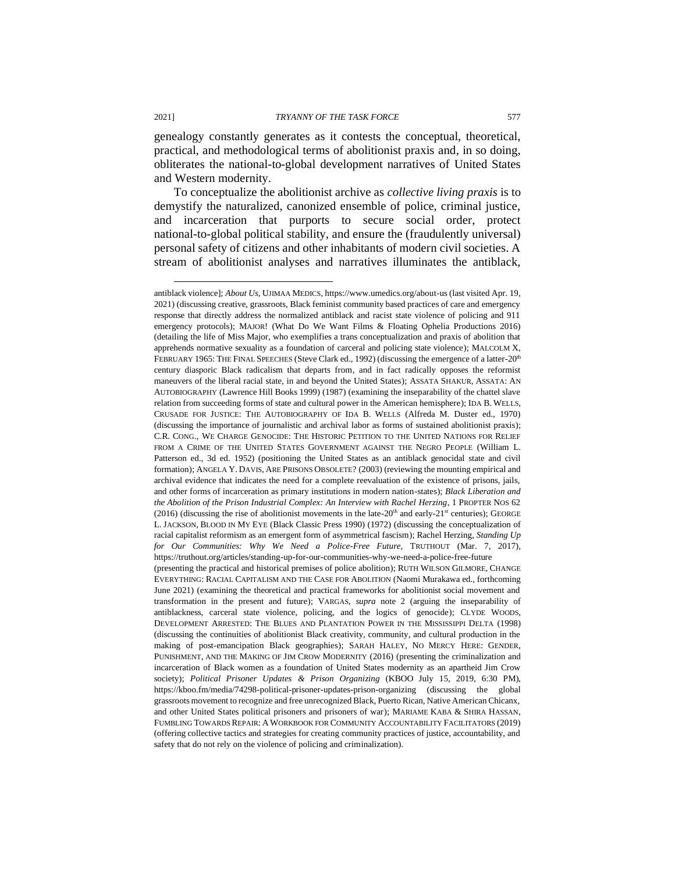genealogy constantly generates as it contests the conceptual, theoretical, practical, and methodological terms of abolitionist praxis and, in so doing, obliterates the national-to-global development narratives of United States and Western modernity.

To conceptualize the abolitionist archive as *collective living praxis* is to demystify the naturalized, canonized ensemble of police, criminal justice, and incarceration that purports to secure social order, protect national-to-global political stability, and ensure the (fraudulently universal) personal safety of citizens and other inhabitants of modern civil societies. A stream of abolitionist analyses and narratives illuminates the antiblack,

antiblack violence]; *About Us*, UJIMAA MEDICS, https://www.umedics.org/about-us (last visited Apr. 19, 2021) (discussing creative, grassroots, Black feminist community based practices of care and emergency response that directly address the normalized antiblack and racist state violence of policing and 911 emergency protocols); MAJOR! (What Do We Want Films & Floating Ophelia Productions 2016) (detailing the life of Miss Major, who exemplifies a trans conceptualization and praxis of abolition that apprehends normative sexuality as a foundation of carceral and policing state violence); MALCOLM X, FEBRUARY 1965: THE FINAL SPEECHES (Steve Clark ed., 1992) (discussing the emergence of a latter-20<sup>th</sup> century diasporic Black radicalism that departs from, and in fact radically opposes the reformist maneuvers of the liberal racial state, in and beyond the United States); ASSATA SHAKUR, ASSATA: AN AUTOBIOGRAPHY (Lawrence Hill Books 1999) (1987) (examining the inseparability of the chattel slave relation from succeeding forms of state and cultural power in the American hemisphere); IDA B. WELLS, CRUSADE FOR JUSTICE: THE AUTOBIOGRAPHY OF IDA B. WELLS (Alfreda M. Duster ed., 1970) (discussing the importance of journalistic and archival labor as forms of sustained abolitionist praxis); C.R. CONG., WE CHARGE GENOCIDE: THE HISTORIC PETITION TO THE UNITED NATIONS FOR RELIEF FROM A CRIME OF THE UNITED STATES GOVERNMENT AGAINST THE NEGRO PEOPLE (William L. Patterson ed., 3d ed. 1952) (positioning the United States as an antiblack genocidal state and civil formation); ANGELA Y. DAVIS, ARE PRISONS OBSOLETE? (2003) (reviewing the mounting empirical and archival evidence that indicates the need for a complete reevaluation of the existence of prisons, jails, and other forms of incarceration as primary institutions in modern nation-states); *Black Liberation and the Abolition of the Prison Industrial Complex: An Interview with Rachel Herzing*, 1 PROPTER NOS 62 (2016) (discussing the rise of abolitionist movements in the late-20<sup>th</sup> and early-21<sup>st</sup> centuries); GEORGE L. JACKSON, BLOOD IN MY EYE (Black Classic Press 1990) (1972) (discussing the conceptualization of racial capitalist reformism as an emergent form of asymmetrical fascism); Rachel Herzing, *Standing Up for Our Communities: Why We Need a Police-Free Future*, TRUTHOUT (Mar. 7, 2017), https://truthout.org/articles/standing-up-for-our-communities-why-we-need-a-police-free-future (presenting the practical and historical premises of police abolition); RUTH WILSON GILMORE, CHANGE EVERYTHING: RACIAL CAPITALISM AND THE CASE FOR ABOLITION (Naomi Murakawa ed., forthcoming June 2021) (examining the theoretical and practical frameworks for abolitionist social movement and transformation in the present and future); VARGAS, *supra* note 2 (arguing the inseparability of antiblackness, carceral state violence, policing, and the logics of genocide); CLYDE WOODS, DEVELOPMENT ARRESTED: THE BLUES AND PLANTATION POWER IN THE MISSISSIPPI DELTA (1998) (discussing the continuities of abolitionist Black creativity, community, and cultural production in the making of post-emancipation Black geographies); SARAH HALEY, NO MERCY HERE: GENDER, PUNISHMENT, AND THE MAKING OF JIM CROW MODERNITY (2016) (presenting the criminalization and incarceration of Black women as a foundation of United States modernity as an apartheid Jim Crow society); *Political Prisoner Updates & Prison Organizing* (KBOO July 15, 2019, 6:30 PM), https://kboo.fm/media/74298-political-prisoner-updates-prison-organizing (discussing the global grassroots movement to recognize and free unrecognized Black, Puerto Rican, Native American Chicanx, and other United States political prisoners and prisoners of war); MARIAME KABA & SHIRA HASSAN, FUMBLING TOWARDS REPAIR: AWORKBOOK FOR COMMUNITY ACCOUNTABILITY FACILITATORS (2019) (offering collective tactics and strategies for creating community practices of justice, accountability, and safety that do not rely on the violence of policing and criminalization).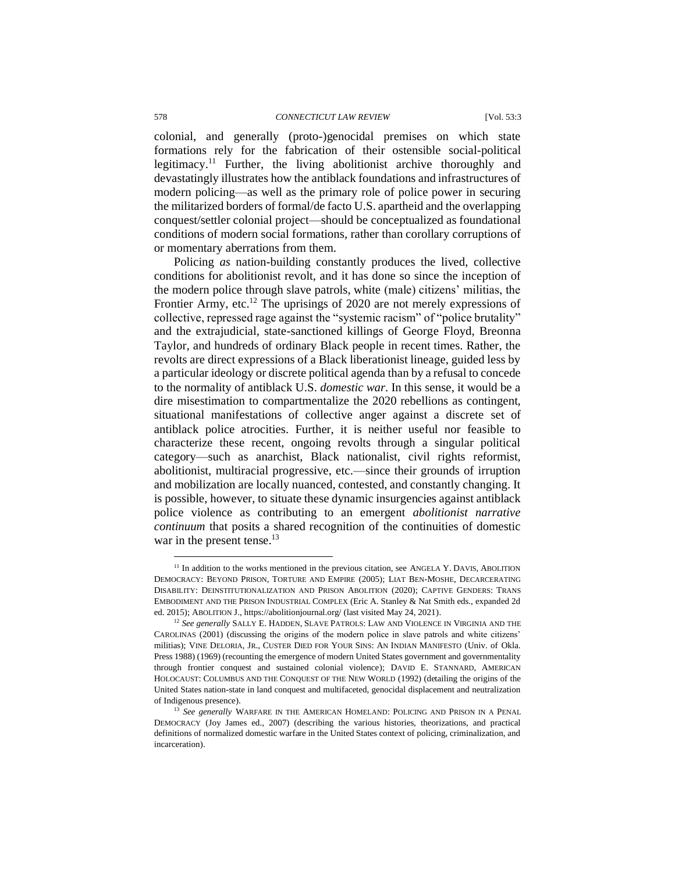#### 578 *CONNECTICUT LAW REVIEW* [Vol. 53:3

colonial, and generally (proto-)genocidal premises on which state formations rely for the fabrication of their ostensible social-political legitimacy.<sup>11</sup> Further, the living abolitionist archive thoroughly and devastatingly illustrates how the antiblack foundations and infrastructures of modern policing—as well as the primary role of police power in securing the militarized borders of formal/de facto U.S. apartheid and the overlapping conquest/settler colonial project—should be conceptualized as foundational conditions of modern social formations, rather than corollary corruptions of or momentary aberrations from them.

Policing *as* nation-building constantly produces the lived, collective conditions for abolitionist revolt, and it has done so since the inception of the modern police through slave patrols, white (male) citizens' militias, the Frontier Army, etc.<sup>12</sup> The uprisings of 2020 are not merely expressions of collective, repressed rage against the "systemic racism" of "police brutality" and the extrajudicial, state-sanctioned killings of George Floyd, Breonna Taylor, and hundreds of ordinary Black people in recent times. Rather, the revolts are direct expressions of a Black liberationist lineage, guided less by a particular ideology or discrete political agenda than by a refusal to concede to the normality of antiblack U.S. *domestic war*. In this sense, it would be a dire misestimation to compartmentalize the 2020 rebellions as contingent, situational manifestations of collective anger against a discrete set of antiblack police atrocities. Further, it is neither useful nor feasible to characterize these recent, ongoing revolts through a singular political category—such as anarchist, Black nationalist, civil rights reformist, abolitionist, multiracial progressive, etc.—since their grounds of irruption and mobilization are locally nuanced, contested, and constantly changing. It is possible, however, to situate these dynamic insurgencies against antiblack police violence as contributing to an emergent *abolitionist narrative continuum* that posits a shared recognition of the continuities of domestic war in the present tense.<sup>13</sup>

<sup>&</sup>lt;sup>11</sup> In addition to the works mentioned in the previous citation, see ANGELA Y. DAVIS, ABOLITION DEMOCRACY: BEYOND PRISON, TORTURE AND EMPIRE (2005); LIAT BEN-MOSHE, DECARCERATING DISABILITY: DEINSTITUTIONALIZATION AND PRISON ABOLITION (2020); CAPTIVE GENDERS: TRANS EMBODIMENT AND THE PRISON INDUSTRIAL COMPLEX (Eric A. Stanley & Nat Smith eds., expanded 2d ed. 2015); ABOLITION J., https://abolitionjournal.org/ (last visited May 24, 2021).

<sup>&</sup>lt;sup>12</sup> See generally SALLY E. HADDEN, SLAVE PATROLS: LAW AND VIOLENCE IN VIRGINIA AND THE CAROLINAS (2001) (discussing the origins of the modern police in slave patrols and white citizens' militias); VINE DELORIA, JR., CUSTER DIED FOR YOUR SINS: AN INDIAN MANIFESTO (Univ. of Okla. Press 1988) (1969) (recounting the emergence of modern United States government and governmentality through frontier conquest and sustained colonial violence); DAVID E. STANNARD, AMERICAN HOLOCAUST: COLUMBUS AND THE CONQUEST OF THE NEW WORLD (1992) (detailing the origins of the United States nation-state in land conquest and multifaceted, genocidal displacement and neutralization of Indigenous presence).

<sup>&</sup>lt;sup>13</sup> See generally WARFARE IN THE AMERICAN HOMELAND: POLICING AND PRISON IN A PENAL DEMOCRACY (Joy James ed., 2007) (describing the various histories, theorizations, and practical definitions of normalized domestic warfare in the United States context of policing, criminalization, and incarceration).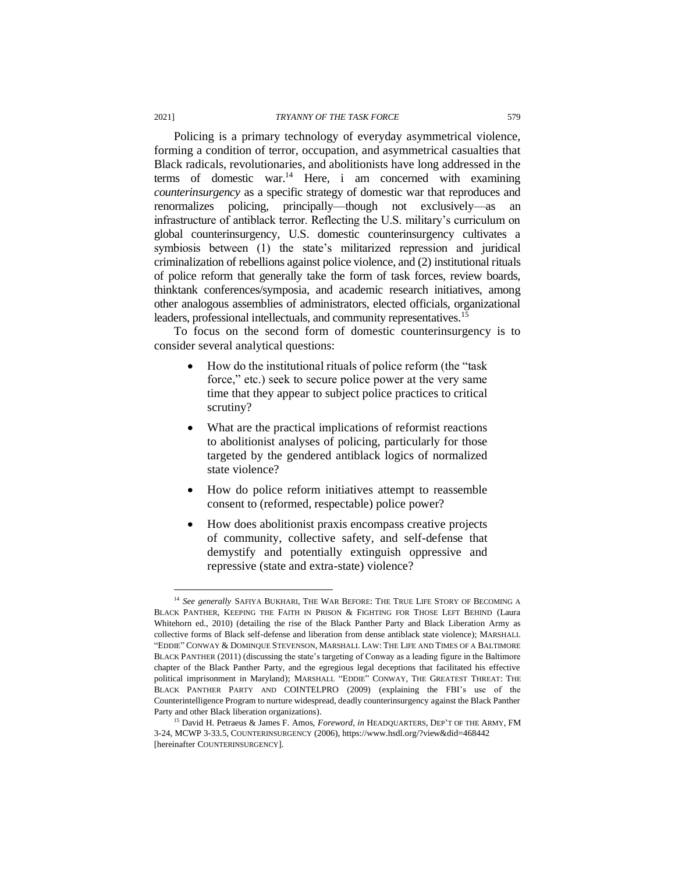Policing is a primary technology of everyday asymmetrical violence, forming a condition of terror, occupation, and asymmetrical casualties that Black radicals, revolutionaries, and abolitionists have long addressed in the terms of domestic war.<sup>14</sup> Here, i am concerned with examining *counterinsurgency* as a specific strategy of domestic war that reproduces and renormalizes policing, principally—though not exclusively—as an infrastructure of antiblack terror. Reflecting the U.S. military's curriculum on global counterinsurgency, U.S. domestic counterinsurgency cultivates a symbiosis between (1) the state's militarized repression and juridical criminalization of rebellions against police violence, and (2) institutional rituals of police reform that generally take the form of task forces, review boards, thinktank conferences/symposia, and academic research initiatives, among other analogous assemblies of administrators, elected officials, organizational leaders, professional intellectuals, and community representatives.<sup>15</sup>

To focus on the second form of domestic counterinsurgency is to consider several analytical questions:

- How do the institutional rituals of police reform (the "task force," etc.) seek to secure police power at the very same time that they appear to subject police practices to critical scrutiny?
- What are the practical implications of reformist reactions to abolitionist analyses of policing, particularly for those targeted by the gendered antiblack logics of normalized state violence?
- How do police reform initiatives attempt to reassemble consent to (reformed, respectable) police power?
- How does abolitionist praxis encompass creative projects of community, collective safety, and self-defense that demystify and potentially extinguish oppressive and repressive (state and extra-state) violence?

<sup>&</sup>lt;sup>14</sup> See generally SAFIYA BUKHARI, THE WAR BEFORE: THE TRUE LIFE STORY OF BECOMING A BLACK PANTHER, KEEPING THE FAITH IN PRISON & FIGHTING FOR THOSE LEFT BEHIND (Laura Whitehorn ed., 2010) (detailing the rise of the Black Panther Party and Black Liberation Army as collective forms of Black self-defense and liberation from dense antiblack state violence); MARSHALL "EDDIE" CONWAY & DOMINQUE STEVENSON, MARSHALL LAW: THE LIFE AND TIMES OF A BALTIMORE BLACK PANTHER (2011) (discussing the state's targeting of Conway as a leading figure in the Baltimore chapter of the Black Panther Party, and the egregious legal deceptions that facilitated his effective political imprisonment in Maryland); MARSHALL "EDDIE" CONWAY, THE GREATEST THREAT: THE BLACK PANTHER PARTY AND COINTELPRO (2009) (explaining the FBI's use of the Counterintelligence Program to nurture widespread, deadly counterinsurgency against the Black Panther Party and other Black liberation organizations).

<sup>15</sup> David H. Petraeus & James F. Amos, *Foreword*, *in* HEADQUARTERS, DEP'T OF THE ARMY, FM 3-24, MCWP 3-33.5, COUNTERINSURGENCY (2006), https://www.hsdl.org/?view&did=468442 [hereinafter COUNTERINSURGENCY].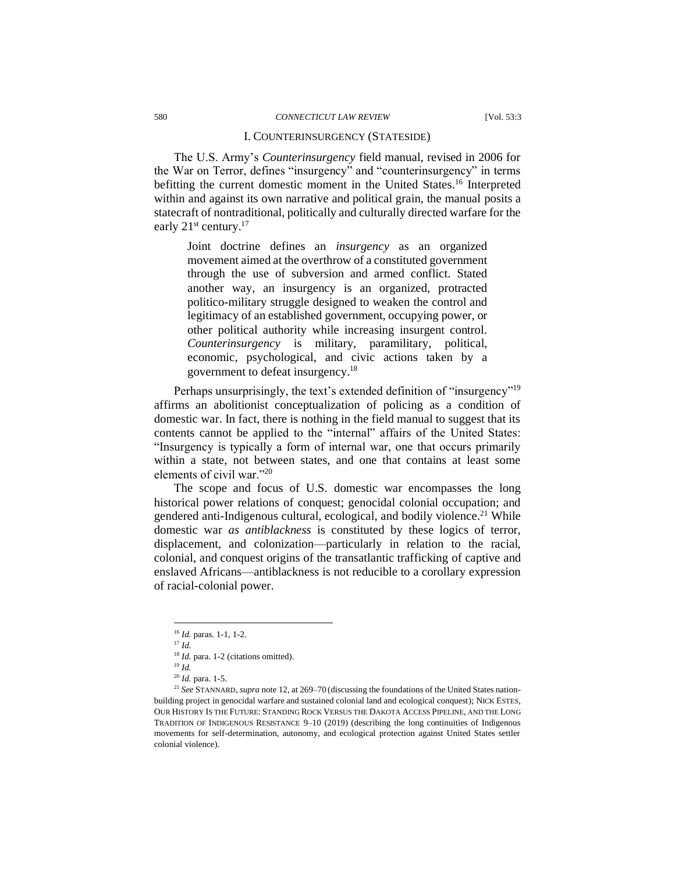#### I. COUNTERINSURGENCY (STATESIDE)

The U.S. Army's *Counterinsurgency* field manual, revised in 2006 for the War on Terror, defines "insurgency" and "counterinsurgency" in terms befitting the current domestic moment in the United States.<sup>16</sup> Interpreted within and against its own narrative and political grain, the manual posits a statecraft of nontraditional, politically and culturally directed warfare for the early 21<sup>st</sup> century.<sup>17</sup>

Joint doctrine defines an *insurgency* as an organized movement aimed at the overthrow of a constituted government through the use of subversion and armed conflict. Stated another way, an insurgency is an organized, protracted politico-military struggle designed to weaken the control and legitimacy of an established government, occupying power, or other political authority while increasing insurgent control. *Counterinsurgency* is military, paramilitary, political, economic, psychological, and civic actions taken by a government to defeat insurgency.<sup>18</sup>

Perhaps unsurprisingly, the text's extended definition of "insurgency"<sup>19</sup> affirms an abolitionist conceptualization of policing as a condition of domestic war. In fact, there is nothing in the field manual to suggest that its contents cannot be applied to the "internal" affairs of the United States: "Insurgency is typically a form of internal war, one that occurs primarily within a state, not between states, and one that contains at least some elements of civil war."<sup>20</sup>

The scope and focus of U.S. domestic war encompasses the long historical power relations of conquest; genocidal colonial occupation; and gendered anti-Indigenous cultural, ecological, and bodily violence.<sup>21</sup> While domestic war *as antiblackness* is constituted by these logics of terror, displacement, and colonization—particularly in relation to the racial, colonial, and conquest origins of the transatlantic trafficking of captive and enslaved Africans—antiblackness is not reducible to a corollary expression of racial-colonial power.

<sup>16</sup> *Id.* paras. 1-1, 1-2.

<sup>17</sup> *Id.*

<sup>&</sup>lt;sup>18</sup> *Id.* para. 1-2 (citations omitted).

<sup>19</sup> *Id.*

<sup>20</sup> *Id.* para. 1-5.

<sup>21</sup> *See* STANNARD, *supra* note 12, at 269–70 (discussing the foundations of the United States nationbuilding project in genocidal warfare and sustained colonial land and ecological conquest); NICK ESTES, OUR HISTORY IS THE FUTURE: STANDING ROCK VERSUS THE DAKOTA ACCESS PIPELINE, AND THE LONG TRADITION OF INDIGENOUS RESISTANCE 9–10 (2019) (describing the long continuities of Indigenous movements for self-determination, autonomy, and ecological protection against United States settler colonial violence).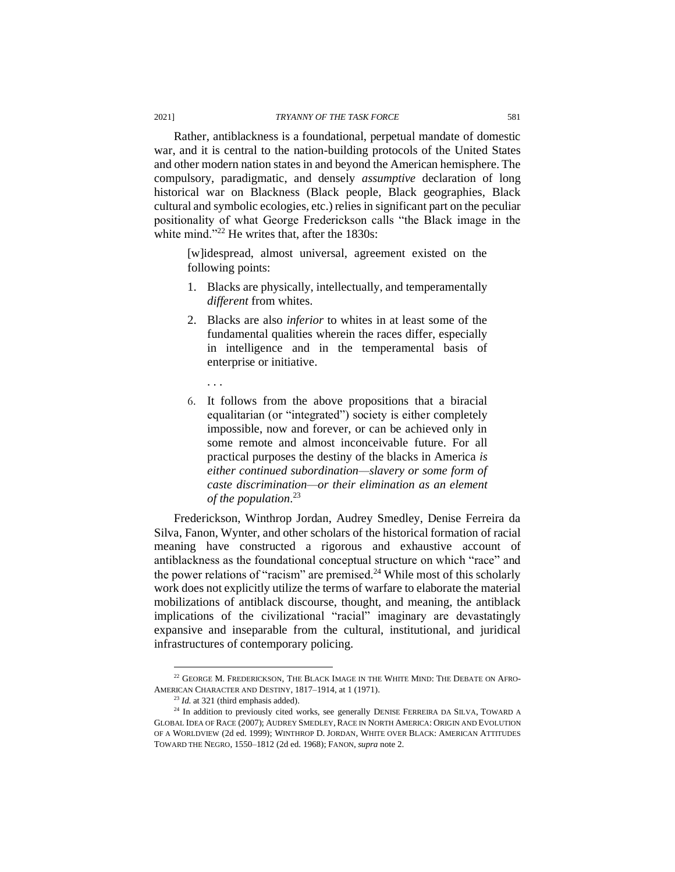Rather, antiblackness is a foundational, perpetual mandate of domestic war, and it is central to the nation-building protocols of the United States and other modern nation states in and beyond the American hemisphere. The compulsory, paradigmatic, and densely *assumptive* declaration of long historical war on Blackness (Black people, Black geographies, Black cultural and symbolic ecologies, etc.) relies in significant part on the peculiar positionality of what George Frederickson calls "the Black image in the white mind."<sup>22</sup> He writes that, after the 1830s:

[w]idespread, almost universal, agreement existed on the following points:

- 1. Blacks are physically, intellectually, and temperamentally *different* from whites.
- 2. Blacks are also *inferior* to whites in at least some of the fundamental qualities wherein the races differ, especially in intelligence and in the temperamental basis of enterprise or initiative.
	- . . .
- 6. It follows from the above propositions that a biracial equalitarian (or "integrated") society is either completely impossible, now and forever, or can be achieved only in some remote and almost inconceivable future. For all practical purposes the destiny of the blacks in America *is either continued subordination—slavery or some form of caste discrimination—or their elimination as an element of the population*. 23

Frederickson, Winthrop Jordan, Audrey Smedley, Denise Ferreira da Silva, Fanon, Wynter, and other scholars of the historical formation of racial meaning have constructed a rigorous and exhaustive account of antiblackness as the foundational conceptual structure on which "race" and the power relations of "racism" are premised.<sup>24</sup> While most of this scholarly work does not explicitly utilize the terms of warfare to elaborate the material mobilizations of antiblack discourse, thought, and meaning, the antiblack implications of the civilizational "racial" imaginary are devastatingly expansive and inseparable from the cultural, institutional, and juridical infrastructures of contemporary policing.

<sup>22</sup> GEORGE M. FREDERICKSON, THE BLACK IMAGE IN THE WHITE MIND: THE DEBATE ON AFRO-AMERICAN CHARACTER AND DESTINY, 1817–1914, at 1 (1971).

<sup>23</sup> *Id.* at 321 (third emphasis added).

<sup>&</sup>lt;sup>24</sup> In addition to previously cited works, see generally DENISE FERREIRA DA SILVA, TOWARD A GLOBAL IDEA OF RACE (2007); AUDREY SMEDLEY,RACE IN NORTH AMERICA: ORIGIN AND EVOLUTION OF A WORLDVIEW (2d ed. 1999); WINTHROP D. JORDAN, WHITE OVER BLACK: AMERICAN ATTITUDES TOWARD THE NEGRO, 1550–1812 (2d ed. 1968); FANON, *supra* note 2.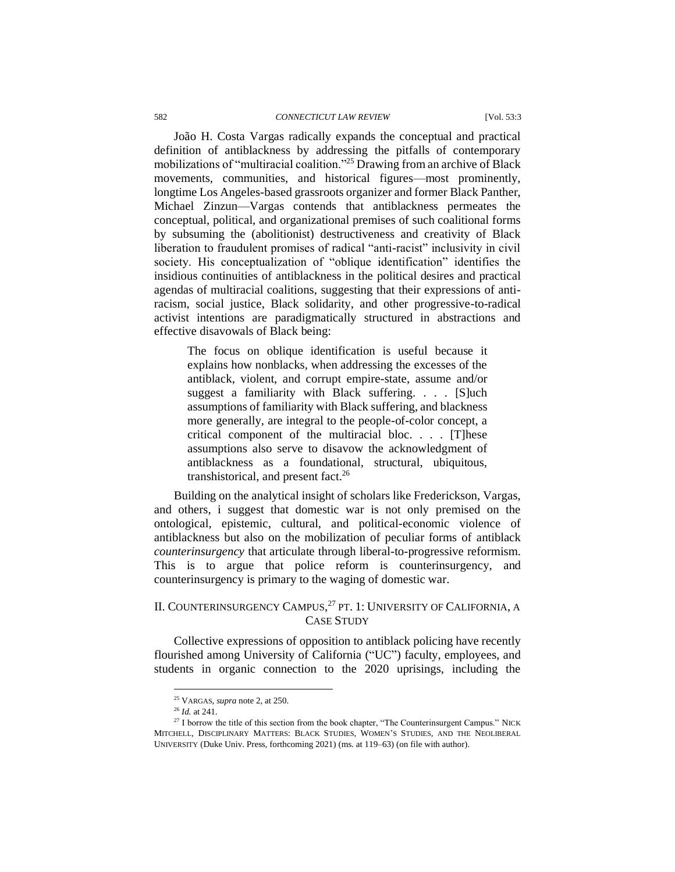#### 582 *CONNECTICUT LAW REVIEW* [Vol. 53:3

João H. Costa Vargas radically expands the conceptual and practical definition of antiblackness by addressing the pitfalls of contemporary mobilizations of "multiracial coalition."<sup>25</sup> Drawing from an archive of Black movements, communities, and historical figures—most prominently, longtime Los Angeles-based grassroots organizer and former Black Panther, Michael Zinzun—Vargas contends that antiblackness permeates the conceptual, political, and organizational premises of such coalitional forms by subsuming the (abolitionist) destructiveness and creativity of Black liberation to fraudulent promises of radical "anti-racist" inclusivity in civil society. His conceptualization of "oblique identification" identifies the insidious continuities of antiblackness in the political desires and practical agendas of multiracial coalitions, suggesting that their expressions of antiracism, social justice, Black solidarity, and other progressive-to-radical activist intentions are paradigmatically structured in abstractions and effective disavowals of Black being:

The focus on oblique identification is useful because it explains how nonblacks, when addressing the excesses of the antiblack, violent, and corrupt empire-state, assume and/or suggest a familiarity with Black suffering. . . . [S]uch assumptions of familiarity with Black suffering, and blackness more generally, are integral to the people-of-color concept, a critical component of the multiracial bloc. . . . [T]hese assumptions also serve to disavow the acknowledgment of antiblackness as a foundational, structural, ubiquitous, transhistorical, and present fact.<sup>26</sup>

Building on the analytical insight of scholars like Frederickson, Vargas, and others, i suggest that domestic war is not only premised on the ontological, epistemic, cultural, and political-economic violence of antiblackness but also on the mobilization of peculiar forms of antiblack *counterinsurgency* that articulate through liberal-to-progressive reformism. This is to argue that police reform is counterinsurgency, and counterinsurgency is primary to the waging of domestic war.

## II. COUNTERINSURGENCY CAMPUS,<sup>27</sup> PT. 1: UNIVERSITY OF CALIFORNIA, A CASE STUDY

Collective expressions of opposition to antiblack policing have recently flourished among University of California ("UC") faculty, employees, and students in organic connection to the 2020 uprisings, including the

<sup>25</sup> VARGAS, *supra* note 2, at 250.

<sup>26</sup> *Id.* at 241.

<sup>&</sup>lt;sup>27</sup> I borrow the title of this section from the book chapter, "The Counterinsurgent Campus." NICK MITCHELL, DISCIPLINARY MATTERS: BLACK STUDIES, WOMEN'S STUDIES, AND THE NEOLIBERAL UNIVERSITY (Duke Univ. Press, forthcoming 2021) (ms. at 119–63) (on file with author).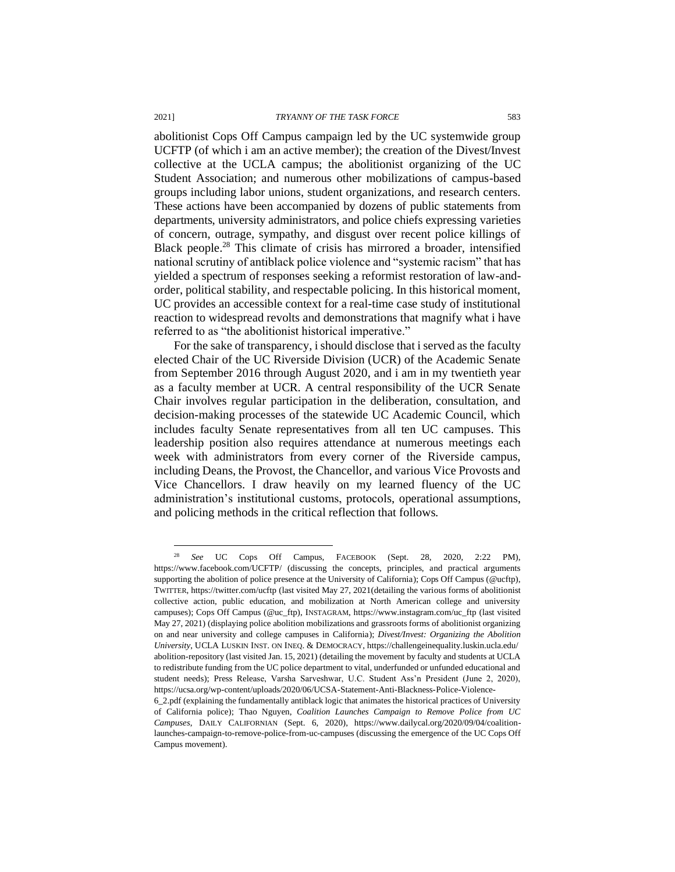abolitionist Cops Off Campus campaign led by the UC systemwide group UCFTP (of which i am an active member); the creation of the Divest/Invest collective at the UCLA campus; the abolitionist organizing of the UC Student Association; and numerous other mobilizations of campus-based groups including labor unions, student organizations, and research centers. These actions have been accompanied by dozens of public statements from departments, university administrators, and police chiefs expressing varieties of concern, outrage, sympathy, and disgust over recent police killings of Black people.<sup>28</sup> This climate of crisis has mirrored a broader, intensified national scrutiny of antiblack police violence and "systemic racism" that has yielded a spectrum of responses seeking a reformist restoration of law-andorder, political stability, and respectable policing. In this historical moment, UC provides an accessible context for a real-time case study of institutional reaction to widespread revolts and demonstrations that magnify what i have referred to as "the abolitionist historical imperative."

For the sake of transparency, i should disclose that i served as the faculty elected Chair of the UC Riverside Division (UCR) of the Academic Senate from September 2016 through August 2020, and i am in my twentieth year as a faculty member at UCR. A central responsibility of the UCR Senate Chair involves regular participation in the deliberation, consultation, and decision-making processes of the statewide UC Academic Council, which includes faculty Senate representatives from all ten UC campuses. This leadership position also requires attendance at numerous meetings each week with administrators from every corner of the Riverside campus, including Deans, the Provost, the Chancellor, and various Vice Provosts and Vice Chancellors. I draw heavily on my learned fluency of the UC administration's institutional customs, protocols, operational assumptions, and policing methods in the critical reflection that follows.

<sup>28</sup> *See* UC Cops Off Campus, FACEBOOK (Sept. 28, 2020, 2:22 PM), https://www.facebook.com/UCFTP/ (discussing the concepts, principles, and practical arguments supporting the abolition of police presence at the University of California); Cops Off Campus (@ucftp), TWITTER, https://twitter.com/ucftp (last visited May 27, 2021(detailing the various forms of abolitionist collective action, public education, and mobilization at North American college and university campuses); Cops Off Campus (@uc\_ftp), INSTAGRAM, https://www.instagram.com/uc\_ftp (last visited May 27, 2021) (displaying police abolition mobilizations and grassroots forms of abolitionist organizing on and near university and college campuses in California); *Divest/Invest: Organizing the Abolition University*, UCLA LUSKIN INST. ON INEQ. & DEMOCRACY, https://challengeinequality.luskin.ucla.edu/ abolition-repository (last visited Jan. 15, 2021) (detailing the movement by faculty and students at UCLA to redistribute funding from the UC police department to vital, underfunded or unfunded educational and student needs); Press Release, Varsha Sarveshwar, U.C. Student Ass'n President (June 2, 2020), https://ucsa.org/wp-content/uploads/2020/06/UCSA-Statement-Anti-Blackness-Police-Violence-

<sup>6</sup>\_2.pdf (explaining the fundamentally antiblack logic that animates the historical practices of University of California police); Thao Nguyen, *Coalition Launches Campaign to Remove Police from UC Campuses*, DAILY CALIFORNIAN (Sept. 6, 2020), https://www.dailycal.org/2020/09/04/coalitionlaunches-campaign-to-remove-police-from-uc-campuses (discussing the emergence of the UC Cops Off Campus movement).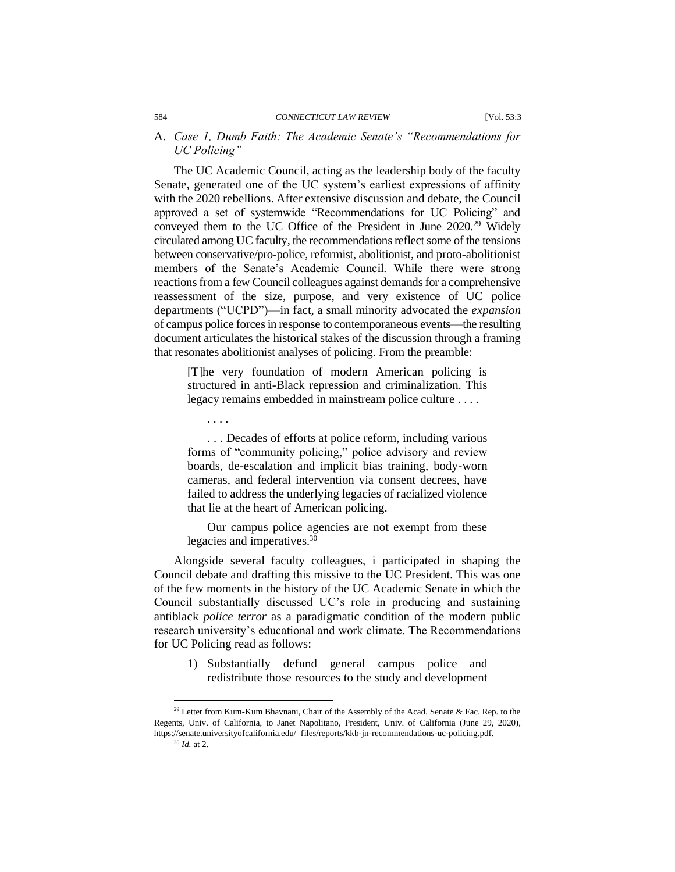#### A. *Case 1, Dumb Faith: The Academic Senate's "Recommendations for UC Policing"*

The UC Academic Council, acting as the leadership body of the faculty Senate, generated one of the UC system's earliest expressions of affinity with the 2020 rebellions. After extensive discussion and debate, the Council approved a set of systemwide "Recommendations for UC Policing" and conveyed them to the UC Office of the President in June 2020.<sup>29</sup> Widely circulated among UC faculty, the recommendations reflect some of the tensions between conservative/pro-police, reformist, abolitionist, and proto-abolitionist members of the Senate's Academic Council. While there were strong reactions from a few Council colleagues against demands for a comprehensive reassessment of the size, purpose, and very existence of UC police departments ("UCPD")—in fact, a small minority advocated the *expansion* of campus police forces in response to contemporaneous events—the resulting document articulates the historical stakes of the discussion through a framing that resonates abolitionist analyses of policing. From the preamble:

[T]he very foundation of modern American policing is structured in anti-Black repression and criminalization. This legacy remains embedded in mainstream police culture . . . .

. . . .

. . . Decades of efforts at police reform, including various forms of "community policing," police advisory and review boards, de-escalation and implicit bias training, body-worn cameras, and federal intervention via consent decrees, have failed to address the underlying legacies of racialized violence that lie at the heart of American policing.

Our campus police agencies are not exempt from these legacies and imperatives.<sup>30</sup>

Alongside several faculty colleagues, i participated in shaping the Council debate and drafting this missive to the UC President. This was one of the few moments in the history of the UC Academic Senate in which the Council substantially discussed UC's role in producing and sustaining antiblack *police terror* as a paradigmatic condition of the modern public research university's educational and work climate. The Recommendations for UC Policing read as follows:

1) Substantially defund general campus police and redistribute those resources to the study and development

<sup>&</sup>lt;sup>29</sup> Letter from Kum-Kum Bhavnani, Chair of the Assembly of the Acad. Senate & Fac. Rep. to the Regents, Univ. of California, to Janet Napolitano, President, Univ. of California (June 29, 2020), https://senate.universityofcalifornia.edu/\_files/reports/kkb-jn-recommendations-uc-policing.pdf.

<sup>30</sup> *Id.* at 2.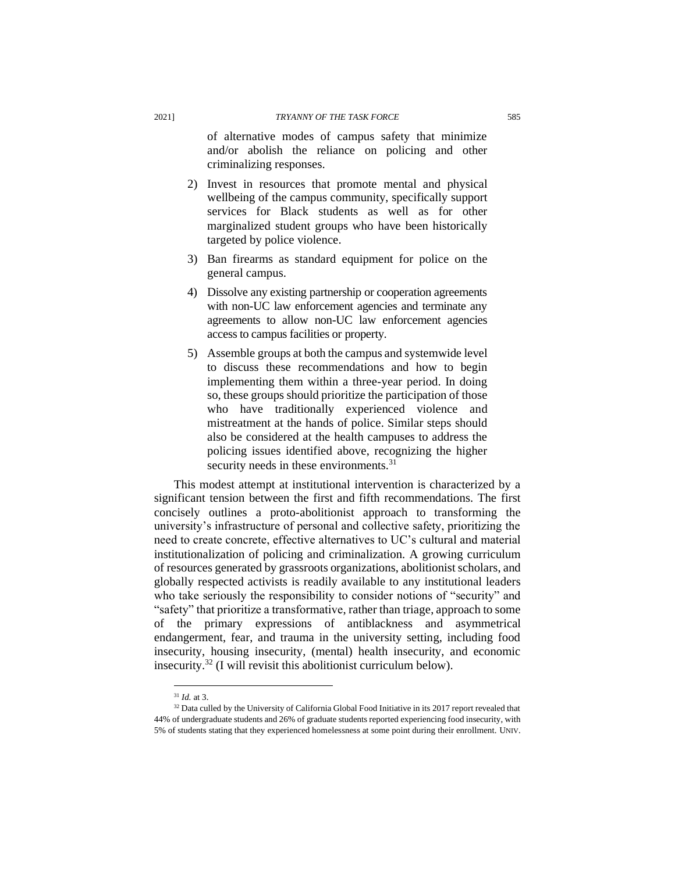of alternative modes of campus safety that minimize and/or abolish the reliance on policing and other criminalizing responses.

- 2) Invest in resources that promote mental and physical wellbeing of the campus community, specifically support services for Black students as well as for other marginalized student groups who have been historically targeted by police violence.
- 3) Ban firearms as standard equipment for police on the general campus.
- 4) Dissolve any existing partnership or cooperation agreements with non-UC law enforcement agencies and terminate any agreements to allow non-UC law enforcement agencies access to campus facilities or property.
- 5) Assemble groups at both the campus and systemwide level to discuss these recommendations and how to begin implementing them within a three-year period. In doing so, these groups should prioritize the participation of those who have traditionally experienced violence and mistreatment at the hands of police. Similar steps should also be considered at the health campuses to address the policing issues identified above, recognizing the higher security needs in these environments.<sup>31</sup>

This modest attempt at institutional intervention is characterized by a significant tension between the first and fifth recommendations. The first concisely outlines a proto-abolitionist approach to transforming the university's infrastructure of personal and collective safety, prioritizing the need to create concrete, effective alternatives to UC's cultural and material institutionalization of policing and criminalization. A growing curriculum of resources generated by grassroots organizations, abolitionist scholars, and globally respected activists is readily available to any institutional leaders who take seriously the responsibility to consider notions of "security" and "safety" that prioritize a transformative, rather than triage, approach to some of the primary expressions of antiblackness and asymmetrical endangerment, fear, and trauma in the university setting, including food insecurity, housing insecurity, (mental) health insecurity, and economic insecurity.<sup>32</sup> (I will revisit this abolitionist curriculum below).

<sup>31</sup> *Id.* at 3.

<sup>&</sup>lt;sup>32</sup> Data culled by the University of California Global Food Initiative in its 2017 report revealed that 44% of undergraduate students and 26% of graduate students reported experiencing food insecurity, with 5% of students stating that they experienced homelessness at some point during their enrollment. UNIV.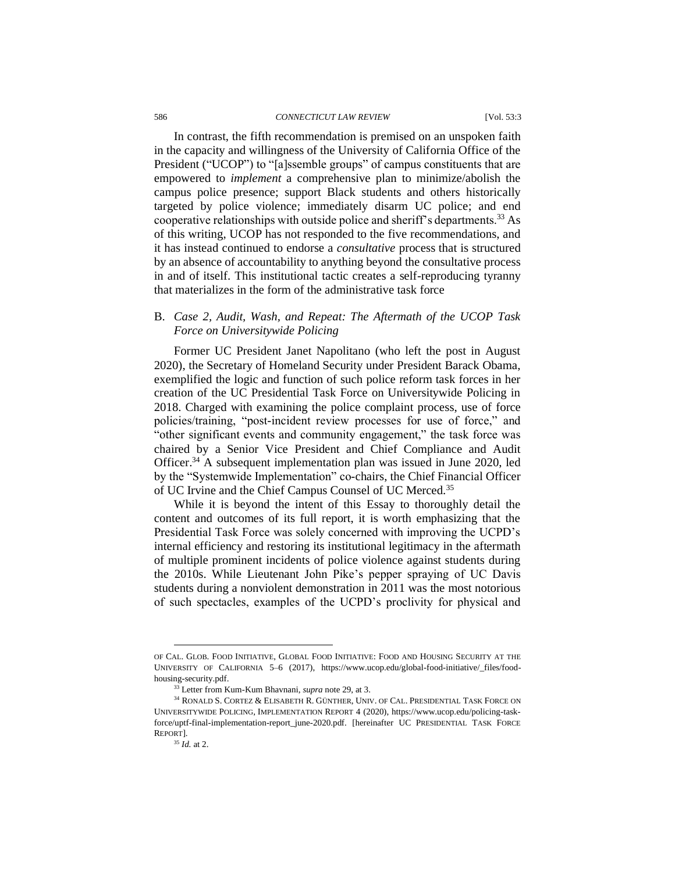#### 586 *CONNECTICUT LAW REVIEW* [Vol. 53:3

In contrast, the fifth recommendation is premised on an unspoken faith in the capacity and willingness of the University of California Office of the President ("UCOP") to "[a]ssemble groups" of campus constituents that are empowered to *implement* a comprehensive plan to minimize/abolish the campus police presence; support Black students and others historically targeted by police violence; immediately disarm UC police; and end cooperative relationships with outside police and sheriff's departments.<sup>33</sup> As of this writing, UCOP has not responded to the five recommendations, and it has instead continued to endorse a *consultative* process that is structured by an absence of accountability to anything beyond the consultative process in and of itself. This institutional tactic creates a self-reproducing tyranny that materializes in the form of the administrative task force

## B. *Case 2, Audit, Wash, and Repeat: The Aftermath of the UCOP Task Force on Universitywide Policing*

Former UC President Janet Napolitano (who left the post in August 2020), the Secretary of Homeland Security under President Barack Obama, exemplified the logic and function of such police reform task forces in her creation of the UC Presidential Task Force on Universitywide Policing in 2018. Charged with examining the police complaint process, use of force policies/training, "post-incident review processes for use of force," and "other significant events and community engagement," the task force was chaired by a Senior Vice President and Chief Compliance and Audit Officer.<sup>34</sup> A subsequent implementation plan was issued in June 2020, led by the "Systemwide Implementation" co-chairs, the Chief Financial Officer of UC Irvine and the Chief Campus Counsel of UC Merced.<sup>35</sup>

While it is beyond the intent of this Essay to thoroughly detail the content and outcomes of its full report, it is worth emphasizing that the Presidential Task Force was solely concerned with improving the UCPD's internal efficiency and restoring its institutional legitimacy in the aftermath of multiple prominent incidents of police violence against students during the 2010s. While Lieutenant John Pike's pepper spraying of UC Davis students during a nonviolent demonstration in 2011 was the most notorious of such spectacles, examples of the UCPD's proclivity for physical and

OF CAL. GLOB. FOOD INITIATIVE, GLOBAL FOOD INITIATIVE: FOOD AND HOUSING SECURITY AT THE UNIVERSITY OF CALIFORNIA 5–6 (2017), https://www.ucop.edu/global-food-initiative/\_files/foodhousing-security.pdf.

<sup>33</sup> Letter from Kum-Kum Bhavnani, *supra* note 29, at 3.

<sup>34</sup> RONALD S. CORTEZ & ELISABETH R. GÜNTHER, UNIV. OF CAL. PRESIDENTIAL TASK FORCE ON UNIVERSITYWIDE POLICING, IMPLEMENTATION REPORT 4 (2020), https://www.ucop.edu/policing-taskforce/uptf-final-implementation-report\_june-2020.pdf. [hereinafter UC PRESIDENTIAL TASK FORCE REPORT].

<sup>35</sup> *Id.* at 2.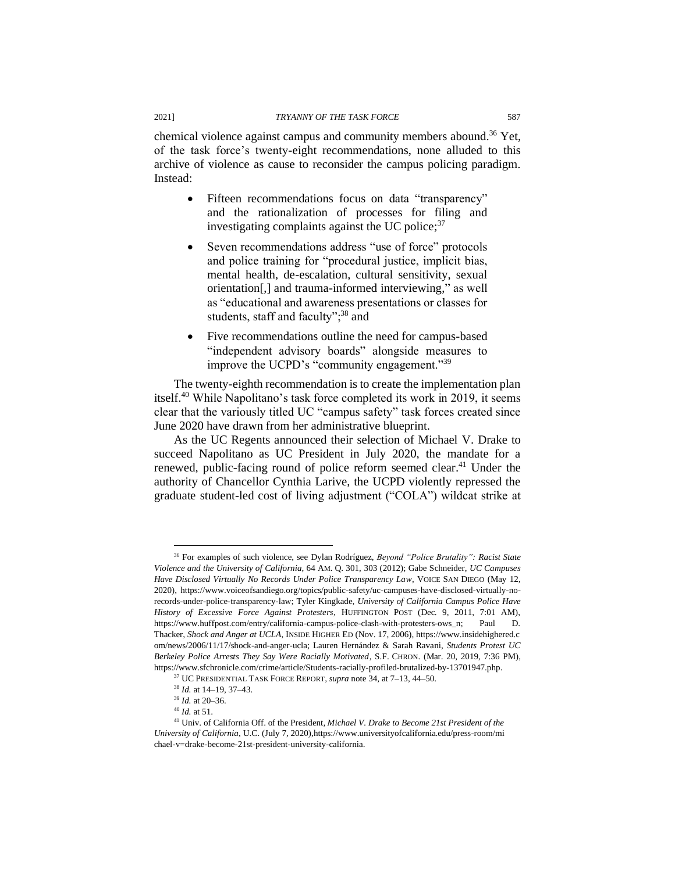chemical violence against campus and community members abound.<sup>36</sup> Yet, of the task force's twenty-eight recommendations, none alluded to this archive of violence as cause to reconsider the campus policing paradigm.

- Fifteen recommendations focus on data "transparency" and the rationalization of processes for filing and investigating complaints against the UC police; $37$
- Seven recommendations address "use of force" protocols and police training for "procedural justice, implicit bias, mental health, de-escalation, cultural sensitivity, sexual orientation[,] and trauma-informed interviewing," as well as "educational and awareness presentations or classes for students, staff and faculty";<sup>38</sup> and
- Five recommendations outline the need for campus-based "independent advisory boards" alongside measures to improve the UCPD's "community engagement."<sup>39</sup>

The twenty-eighth recommendation is to create the implementation plan itself.<sup>40</sup> While Napolitano's task force completed its work in 2019, it seems clear that the variously titled UC "campus safety" task forces created since June 2020 have drawn from her administrative blueprint.

As the UC Regents announced their selection of Michael V. Drake to succeed Napolitano as UC President in July 2020, the mandate for a renewed, public-facing round of police reform seemed clear.<sup>41</sup> Under the authority of Chancellor Cynthia Larive, the UCPD violently repressed the graduate student-led cost of living adjustment ("COLA") wildcat strike at

Instead:

<sup>36</sup> For examples of such violence, see Dylan Rodríguez, *Beyond "Police Brutality": Racist State Violence and the University of California*, 64 AM. Q. 301, 303 (2012); Gabe Schneider, *UC Campuses Have Disclosed Virtually No Records Under Police Transparency Law*, VOICE SAN DIEGO (May 12, 2020), https://www.voiceofsandiego.org/topics/public-safety/uc-campuses-have-disclosed-virtually-norecords-under-police-transparency-law; Tyler Kingkade, *University of California Campus Police Have History of Excessive Force Against Protesters*, HUFFINGTON POST (Dec. 9, 2011, 7:01 AM), https://www.huffpost.com/entry/california-campus-police-clash-with-protesters-ows\_n; Paul D. Thacker, *Shock and Anger at UCLA*, INSIDE HIGHER ED (Nov. 17, 2006), https://www.insidehighered.c om/news/2006/11/17/shock-and-anger-ucla; Lauren Hernández & Sarah Ravani, *Students Protest UC Berkeley Police Arrests They Say Were Racially Motivated*, S.F. CHRON. (Mar. 20, 2019, 7:36 PM), https://www.sfchronicle.com/crime/article/Students-racially-profiled-brutalized-by-13701947.php.

<sup>37</sup> UC PRESIDENTIAL TASK FORCE REPORT, *supra* note 34, at 7–13, 44–50.

<sup>38</sup> *Id.* at 14–19, 37–43.

<sup>39</sup> *Id.* at 20–36.

<sup>40</sup> *Id.* at 51.

<sup>41</sup> Univ. of California Off. of the President, *Michael V. Drake to Become 21st President of the University of California*, U.C. (July 7, 2020),https://www.universityofcalifornia.edu/press-room/mi chael-v=drake-become-21st-president-university-california.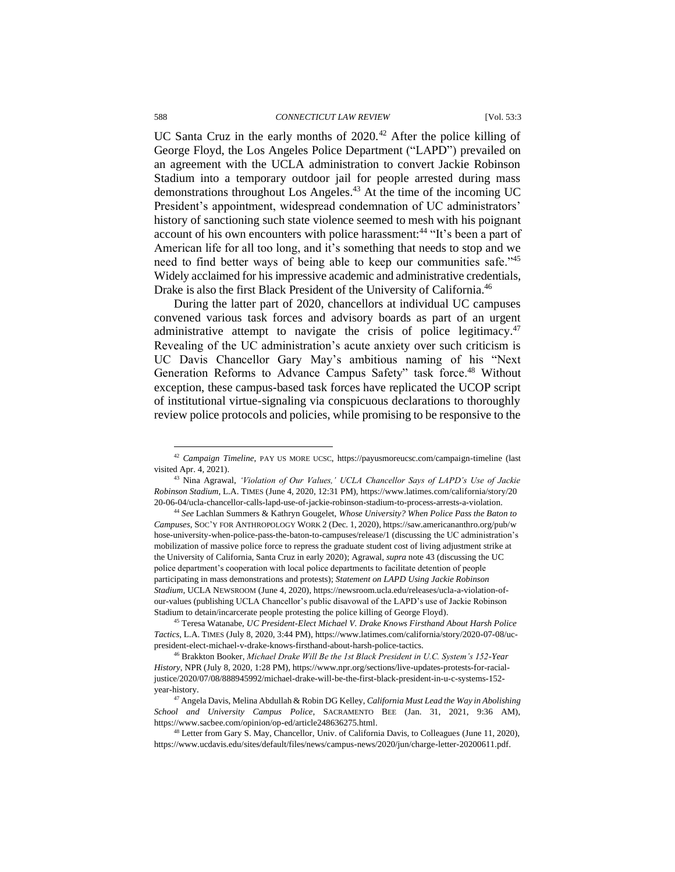UC Santa Cruz in the early months of  $2020$ .<sup>42</sup> After the police killing of George Floyd, the Los Angeles Police Department ("LAPD") prevailed on an agreement with the UCLA administration to convert Jackie Robinson Stadium into a temporary outdoor jail for people arrested during mass demonstrations throughout Los Angeles.<sup>43</sup> At the time of the incoming UC President's appointment, widespread condemnation of UC administrators' history of sanctioning such state violence seemed to mesh with his poignant account of his own encounters with police harassment:<sup>44</sup> "It's been a part of American life for all too long, and it's something that needs to stop and we need to find better ways of being able to keep our communities safe."<sup>45</sup> Widely acclaimed for his impressive academic and administrative credentials, Drake is also the first Black President of the University of California.<sup>46</sup>

During the latter part of 2020, chancellors at individual UC campuses convened various task forces and advisory boards as part of an urgent administrative attempt to navigate the crisis of police legitimacy. $47$ Revealing of the UC administration's acute anxiety over such criticism is UC Davis Chancellor Gary May's ambitious naming of his "Next Generation Reforms to Advance Campus Safety" task force.<sup>48</sup> Without exception, these campus-based task forces have replicated the UCOP script of institutional virtue-signaling via conspicuous declarations to thoroughly review police protocols and policies, while promising to be responsive to the

<sup>42</sup> *Campaign Timeline*, PAY US MORE UCSC, https://payusmoreucsc.com/campaign-timeline (last visited Apr. 4, 2021).

<sup>43</sup> Nina Agrawal, *'Violation of Our Values,' UCLA Chancellor Says of LAPD's Use of Jackie Robinson Stadium*, L.A. TIMES (June 4, 2020, 12:31 PM), https://www.latimes.com/california/story/20 20-06-04/ucla-chancellor-calls-lapd-use-of-jackie-robinson-stadium-to-process-arrests-a-violation.

<sup>44</sup> *See* Lachlan Summers & Kathryn Gougelet, *Whose University? When Police Pass the Baton to Campuses*, SOC'Y FOR ANTHROPOLOGY WORK 2 (Dec. 1, 2020), https://saw.americananthro.org/pub/w hose-university-when-police-pass-the-baton-to-campuses/release/1 (discussing the UC administration's mobilization of massive police force to repress the graduate student cost of living adjustment strike at the University of California, Santa Cruz in early 2020); Agrawal, *supra* note 43 (discussing the UC police department's cooperation with local police departments to facilitate detention of people participating in mass demonstrations and protests); *Statement on LAPD Using Jackie Robinson Stadium*, UCLA NEWSROOM (June 4, 2020), https://newsroom.ucla.edu/releases/ucla-a-violation-ofour-values (publishing UCLA Chancellor's public disavowal of the LAPD's use of Jackie Robinson Stadium to detain/incarcerate people protesting the police killing of George Floyd).

<sup>45</sup> Teresa Watanabe, *UC President-Elect Michael V. Drake Knows Firsthand About Harsh Police Tactics*, L.A. TIMES (July 8, 2020, 3:44 PM), https://www.latimes.com/california/story/2020-07-08/ucpresident-elect-michael-v-drake-knows-firsthand-about-harsh-police-tactics.

<sup>46</sup> Brakkton Booker, *Michael Drake Will Be the 1st Black President in U.C. System's 152-Year History*, NPR (July 8, 2020, 1:28 PM), https://www.npr.org/sections/live-updates-protests-for-racialjustice/2020/07/08/888945992/michael-drake-will-be-the-first-black-president-in-u-c-systems-152 year-history.

<sup>47</sup> Angela Davis, Melina Abdullah & Robin DG Kelley, *California Must Lead the Way in Abolishing School and University Campus Police*, SACRAMENTO BEE (Jan. 31, 2021, 9:36 AM), https://www.sacbee.com/opinion/op-ed/article248636275.html.

<sup>48</sup> Letter from Gary S. May, Chancellor, Univ. of California Davis, to Colleagues (June 11, 2020), https://www.ucdavis.edu/sites/default/files/news/campus-news/2020/jun/charge-letter-20200611.pdf.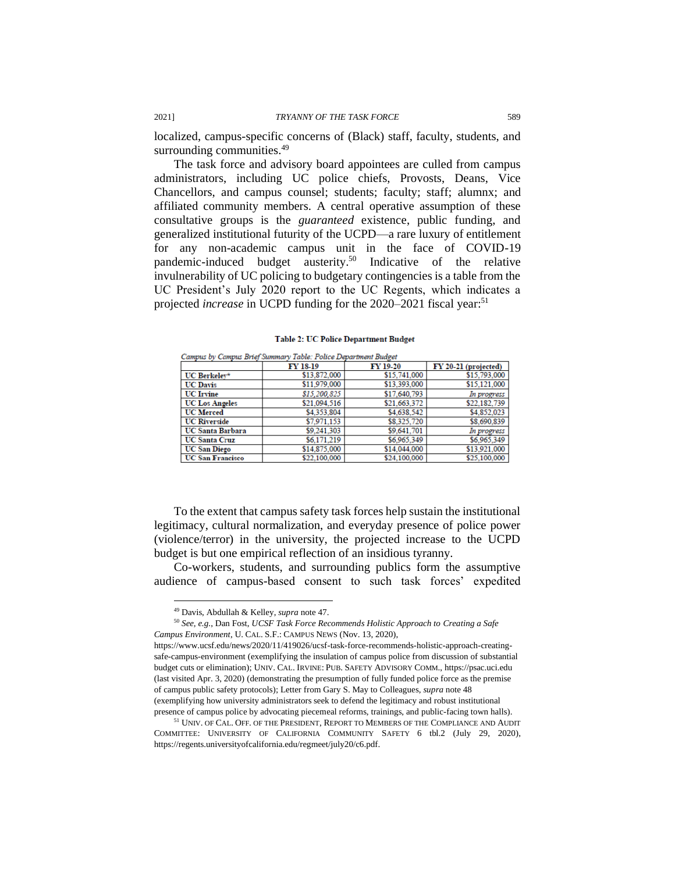localized, campus-specific concerns of (Black) staff, faculty, students, and surrounding communities.<sup>49</sup>

The task force and advisory board appointees are culled from campus administrators, including UC police chiefs, Provosts, Deans, Vice Chancellors, and campus counsel; students; faculty; staff; alumnx; and affiliated community members. A central operative assumption of these consultative groups is the *guaranteed* existence, public funding, and generalized institutional futurity of the UCPD—a rare luxury of entitlement for any non-academic campus unit in the face of COVID-19 pandemic-induced budget austerity.<sup>50</sup> Indicative of the relative invulnerability of UC policing to budgetary contingencies is a table from the UC President's July 2020 report to the UC Regents, which indicates a projected *increase* in UCPD funding for the 2020–2021 fiscal year:<sup>51</sup>

| $\sim$ angles of $\sim$ angles $\omega$ is $\sim$<br>THURS, I DEED LIGHT MICH DIMEDI |              |              |                      |  |
|--------------------------------------------------------------------------------------|--------------|--------------|----------------------|--|
|                                                                                      | FY 18-19     | FY 19-20     | FY 20-21 (projected) |  |
| UC Berkelev*                                                                         | \$13,872,000 | \$15,741,000 | \$15,793,000         |  |
| <b>UC</b> Davis                                                                      | \$11,979,000 | \$13,393,000 | \$15,121,000         |  |
| <b>UC</b> Irvine                                                                     | \$15,200,825 | \$17,640,793 | In progress          |  |
| <b>UC Los Angeles</b>                                                                | \$21.094.516 | \$21,663,372 | \$22,182,739         |  |
| <b>UC</b> Merced                                                                     | \$4,353,804  | \$4,638,542  | \$4,852,023          |  |
| <b>UC Riverside</b>                                                                  | \$7.971.153  | \$8,325,720  | \$8,690,839          |  |
| <b>UC Santa Barbara</b>                                                              | \$9,241,303  | \$9,641,701  | In progress          |  |
| <b>UC Santa Cruz</b>                                                                 | \$6.171.219  | \$6.965,349  | \$6,965,349          |  |
| <b>UC San Diego</b>                                                                  | \$14,875,000 | \$14,044,000 | \$13.921.000         |  |
| <b>UC San Francisco</b>                                                              | \$22,100,000 | \$24,100,000 | \$25,100,000         |  |

**Table 2: UC Police Department Budget** 

Cannus by Cannus Reigh Summary Table: Police Department Rudget

To the extent that campus safety task forces help sustain the institutional legitimacy, cultural normalization, and everyday presence of police power (violence/terror) in the university, the projected increase to the UCPD budget is but one empirical reflection of an insidious tyranny.

Co-workers, students, and surrounding publics form the assumptive audience of campus-based consent to such task forces' expedited

<sup>49</sup> Davis, Abdullah & Kelley, *supra* note 47.

<sup>50</sup> *See, e.g.*, Dan Fost, *UCSF Task Force Recommends Holistic Approach to Creating a Safe Campus Environment*, U. CAL. S.F.: CAMPUS NEWS (Nov. 13, 2020),

https://www.ucsf.edu/news/2020/11/419026/ucsf-task-force-recommends-holistic-approach-creatingsafe-campus-environment (exemplifying the insulation of campus police from discussion of substantial budget cuts or elimination); UNIV. CAL. IRVINE: PUB. SAFETY ADVISORY COMM., https://psac.uci.edu (last visited Apr. 3, 2020) (demonstrating the presumption of fully funded police force as the premise of campus public safety protocols); Letter from Gary S. May to Colleagues, *supra* note 48 (exemplifying how university administrators seek to defend the legitimacy and robust institutional presence of campus police by advocating piecemeal reforms, trainings, and public-facing town halls).

<sup>51</sup> UNIV. OF CAL. OFF. OF THE PRESIDENT, REPORT TO MEMBERS OF THE COMPLIANCE AND AUDIT COMMITTEE: UNIVERSITY OF CALIFORNIA COMMUNITY SAFETY 6 tbl.2 (July 29, 2020), https://regents.universityofcalifornia.edu/regmeet/july20/c6.pdf.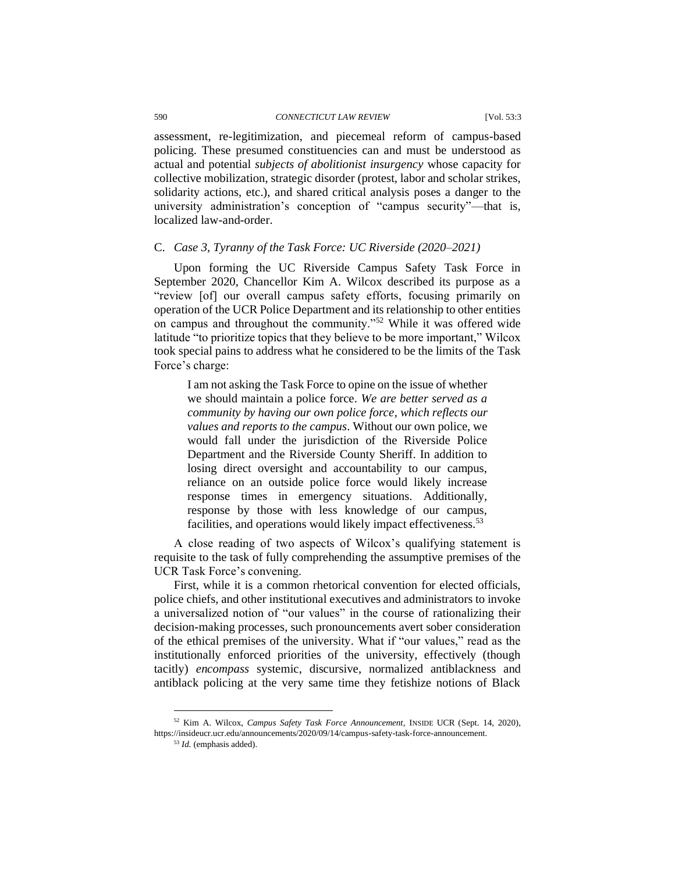#### 590 *CONNECTICUT LAW REVIEW* [Vol. 53:3

assessment, re-legitimization, and piecemeal reform of campus-based policing. These presumed constituencies can and must be understood as actual and potential *subjects of abolitionist insurgency* whose capacity for collective mobilization, strategic disorder (protest, labor and scholar strikes, solidarity actions, etc.), and shared critical analysis poses a danger to the university administration's conception of "campus security"—that is, localized law-and-order.

#### C. *Case 3, Tyranny of the Task Force: UC Riverside (2020–2021)*

Upon forming the UC Riverside Campus Safety Task Force in September 2020, Chancellor Kim A. Wilcox described its purpose as a "review [of] our overall campus safety efforts, focusing primarily on operation of the UCR Police Department and its relationship to other entities on campus and throughout the community."<sup>52</sup> While it was offered wide latitude "to prioritize topics that they believe to be more important," Wilcox took special pains to address what he considered to be the limits of the Task Force's charge:

I am not asking the Task Force to opine on the issue of whether we should maintain a police force. *We are better served as a community by having our own police force, which reflects our values and reports to the campus*. Without our own police, we would fall under the jurisdiction of the Riverside Police Department and the Riverside County Sheriff. In addition to losing direct oversight and accountability to our campus, reliance on an outside police force would likely increase response times in emergency situations. Additionally, response by those with less knowledge of our campus, facilities, and operations would likely impact effectiveness.<sup>53</sup>

A close reading of two aspects of Wilcox's qualifying statement is requisite to the task of fully comprehending the assumptive premises of the UCR Task Force's convening.

First, while it is a common rhetorical convention for elected officials, police chiefs, and other institutional executives and administrators to invoke a universalized notion of "our values" in the course of rationalizing their decision-making processes, such pronouncements avert sober consideration of the ethical premises of the university. What if "our values," read as the institutionally enforced priorities of the university, effectively (though tacitly) *encompass* systemic, discursive, normalized antiblackness and antiblack policing at the very same time they fetishize notions of Black

<sup>52</sup> Kim A. Wilcox, *Campus Safety Task Force Announcement*, INSIDE UCR (Sept. 14, 2020), https://insideucr.ucr.edu/announcements/2020/09/14/campus-safety-task-force-announcement.

<sup>53</sup> *Id.* (emphasis added).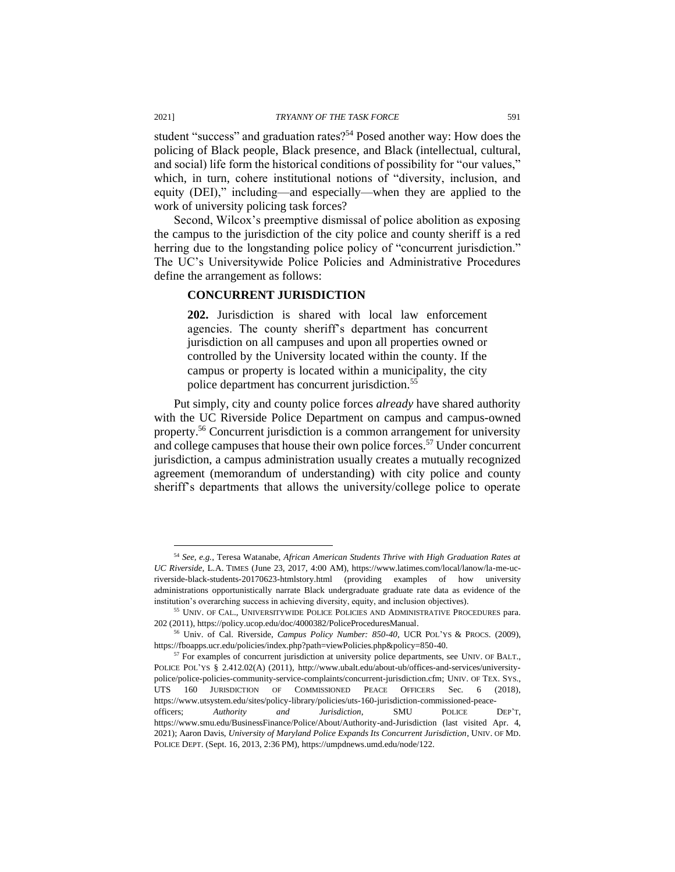student "success" and graduation rates?<sup>54</sup> Posed another way: How does the policing of Black people, Black presence, and Black (intellectual, cultural, and social) life form the historical conditions of possibility for "our values," which, in turn, cohere institutional notions of "diversity, inclusion, and equity (DEI)," including—and especially—when they are applied to the work of university policing task forces?

Second, Wilcox's preemptive dismissal of police abolition as exposing the campus to the jurisdiction of the city police and county sheriff is a red herring due to the longstanding police policy of "concurrent jurisdiction." The UC's Universitywide Police Policies and Administrative Procedures define the arrangement as follows:

#### **CONCURRENT JURISDICTION**

**202.** Jurisdiction is shared with local law enforcement agencies. The county sheriff's department has concurrent jurisdiction on all campuses and upon all properties owned or controlled by the University located within the county. If the campus or property is located within a municipality, the city police department has concurrent jurisdiction.<sup>55</sup>

Put simply, city and county police forces *already* have shared authority with the UC Riverside Police Department on campus and campus-owned property.<sup>56</sup> Concurrent jurisdiction is a common arrangement for university and college campuses that house their own police forces.<sup>57</sup> Under concurrent jurisdiction, a campus administration usually creates a mutually recognized agreement (memorandum of understanding) with city police and county sheriff's departments that allows the university/college police to operate

<sup>54</sup> *See, e.g.*, Teresa Watanabe, *African American Students Thrive with High Graduation Rates at UC Riverside*, L.A. TIMES (June 23, 2017, 4:00 AM), https://www.latimes.com/local/lanow/la-me-ucriverside-black-students-20170623-htmlstory.html (providing examples of how university administrations opportunistically narrate Black undergraduate graduate rate data as evidence of the institution's overarching success in achieving diversity, equity, and inclusion objectives).

<sup>55</sup> UNIV. OF CAL., UNIVERSITYWIDE POLICE POLICIES AND ADMINISTRATIVE PROCEDURES para. 202 (2011), https://policy.ucop.edu/doc/4000382/PoliceProceduresManual.

<sup>56</sup> Univ. of Cal. Riverside, *Campus Policy Number: 850-40*, UCR POL'YS & PROCS. (2009), https://fboapps.ucr.edu/policies/index.php?path=viewPolicies.php&policy=850-40.

<sup>&</sup>lt;sup>57</sup> For examples of concurrent jurisdiction at university police departments, see UNIV. OF BALT., POLICE POL'YS § 2.412.02(A) (2011), http://www.ubalt.edu/about-ub/offices-and-services/universitypolice/police-policies-community-service-complaints/concurrent-jurisdiction.cfm; UNIV. OF TEX. SYS., UTS 160 JURISDICTION OF COMMISSIONED PEACE OFFICERS Sec. 6 (2018), https://www.utsystem.edu/sites/policy-library/policies/uts-160-jurisdiction-commissioned-peaceofficers; *Authority and Jurisdiction*, SMU POLICE DEP'T, https://www.smu.edu/BusinessFinance/Police/About/Authority-and-Jurisdiction (last visited Apr. 4, 2021); Aaron Davis, *University of Maryland Police Expands Its Concurrent Jurisdiction*, UNIV. OF MD. POLICE DEPT. (Sept. 16, 2013, 2:36 PM), https://umpdnews.umd.edu/node/122.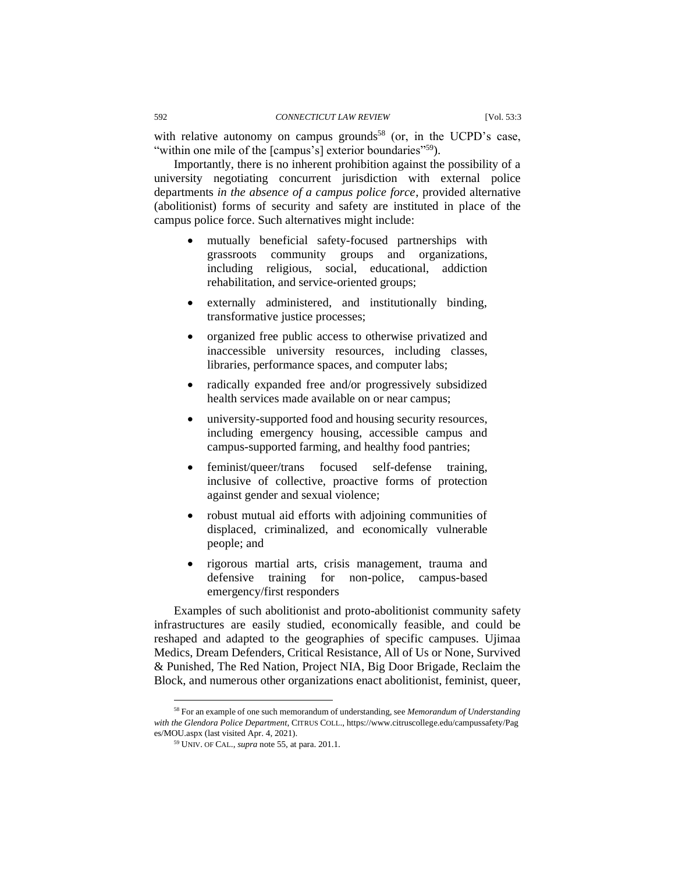with relative autonomy on campus grounds<sup>58</sup> (or, in the UCPD's case, "within one mile of the [campus's] exterior boundaries"<sup>59</sup>).

Importantly, there is no inherent prohibition against the possibility of a university negotiating concurrent jurisdiction with external police departments *in the absence of a campus police force*, provided alternative (abolitionist) forms of security and safety are instituted in place of the campus police force. Such alternatives might include:

- mutually beneficial safety-focused partnerships with grassroots community groups and organizations, including religious, social, educational, addiction rehabilitation, and service-oriented groups;
- externally administered, and institutionally binding, transformative justice processes;
- organized free public access to otherwise privatized and inaccessible university resources, including classes, libraries, performance spaces, and computer labs;
- radically expanded free and/or progressively subsidized health services made available on or near campus;
- university-supported food and housing security resources, including emergency housing, accessible campus and campus-supported farming, and healthy food pantries;
- feminist/queer/trans focused self-defense training, inclusive of collective, proactive forms of protection against gender and sexual violence;
- robust mutual aid efforts with adjoining communities of displaced, criminalized, and economically vulnerable people; and
- rigorous martial arts, crisis management, trauma and defensive training for non-police, campus-based emergency/first responders

Examples of such abolitionist and proto-abolitionist community safety infrastructures are easily studied, economically feasible, and could be reshaped and adapted to the geographies of specific campuses. Ujimaa Medics, Dream Defenders, Critical Resistance, All of Us or None, Survived & Punished, The Red Nation, Project NIA, Big Door Brigade, Reclaim the Block, and numerous other organizations enact abolitionist, feminist, queer,

<sup>58</sup> For an example of one such memorandum of understanding, see *Memorandum of Understanding with the Glendora Police Department*, CITRUS COLL., https://www.citruscollege.edu/campussafety/Pag es/MOU.aspx (last visited Apr. 4, 2021).

<sup>59</sup> UNIV. OF CAL., *supra* note 55, at para. 201.1.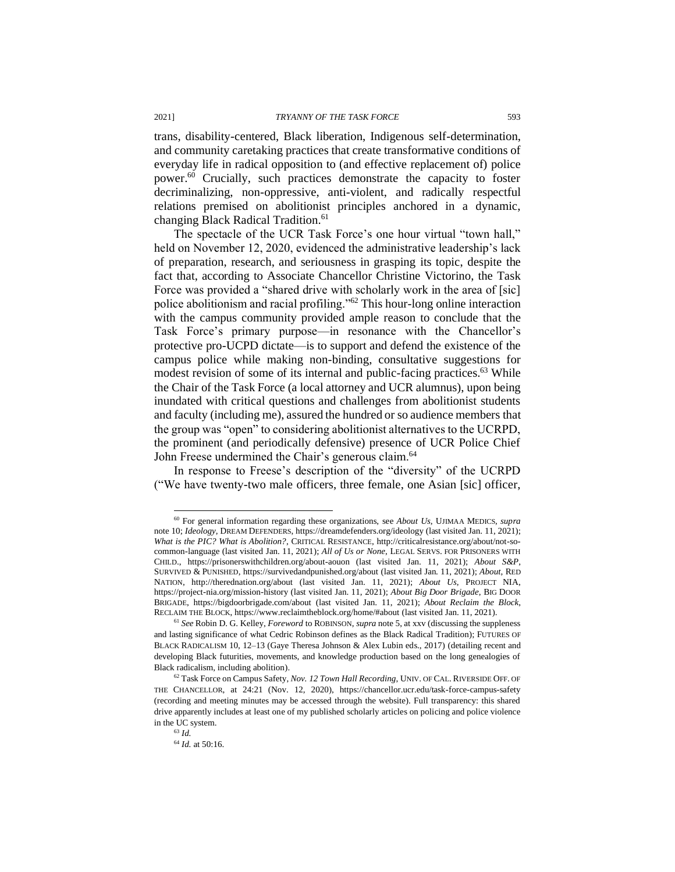trans, disability-centered, Black liberation, Indigenous self-determination, and community caretaking practices that create transformative conditions of everyday life in radical opposition to (and effective replacement of) police power.<sup>60</sup> Crucially, such practices demonstrate the capacity to foster decriminalizing, non-oppressive, anti-violent, and radically respectful relations premised on abolitionist principles anchored in a dynamic, changing Black Radical Tradition.<sup>61</sup>

The spectacle of the UCR Task Force's one hour virtual "town hall," held on November 12, 2020, evidenced the administrative leadership's lack of preparation, research, and seriousness in grasping its topic, despite the fact that, according to Associate Chancellor Christine Victorino, the Task Force was provided a "shared drive with scholarly work in the area of [sic] police abolitionism and racial profiling."<sup>62</sup> This hour-long online interaction with the campus community provided ample reason to conclude that the Task Force's primary purpose—in resonance with the Chancellor's protective pro-UCPD dictate—is to support and defend the existence of the campus police while making non-binding, consultative suggestions for modest revision of some of its internal and public-facing practices.<sup>63</sup> While the Chair of the Task Force (a local attorney and UCR alumnus), upon being inundated with critical questions and challenges from abolitionist students and faculty (including me), assured the hundred or so audience members that the group was "open" to considering abolitionist alternatives to the UCRPD, the prominent (and periodically defensive) presence of UCR Police Chief John Freese undermined the Chair's generous claim.<sup>64</sup>

In response to Freese's description of the "diversity" of the UCRPD ("We have twenty-two male officers, three female, one Asian [sic] officer,

<sup>60</sup> For general information regarding these organizations, see *About Us*, UJIMAA MEDICS, *supra* note 10; *Ideology*, DREAM DEFENDERS, https://dreamdefenders.org/ideology (last visited Jan. 11, 2021); *What is the PIC? What is Abolition?*, CRITICAL RESISTANCE, http://criticalresistance.org/about/not-socommon-language (last visited Jan. 11, 2021); *All of Us or None*, LEGAL SERVS. FOR PRISONERS WITH CHILD., https://prisonerswithchildren.org/about-aouon (last visited Jan. 11, 2021); *About S&P*, SURVIVED & PUNISHED, https://survivedandpunished.org/about (last visited Jan. 11, 2021); *About*, RED NATION, http://therednation.org/about (last visited Jan. 11, 2021); *About Us*, PROJECT NIA, https://project-nia.org/mission-history (last visited Jan. 11, 2021); *About Big Door Brigade*, BIG DOOR BRIGADE, https://bigdoorbrigade.com/about (last visited Jan. 11, 2021); *About Reclaim the Block*, RECLAIM THE BLOCK, https://www.reclaimtheblock.org/home/#about (last visited Jan. 11, 2021).

<sup>61</sup> *See* Robin D. G. Kelley, *Foreword* to ROBINSON, *supra* note 5, at xxv (discussing the suppleness and lasting significance of what Cedric Robinson defines as the Black Radical Tradition); FUTURES OF BLACK RADICALISM 10, 12–13 (Gaye Theresa Johnson & Alex Lubin eds., 2017) (detailing recent and developing Black futurities, movements, and knowledge production based on the long genealogies of Black radicalism, including abolition).

<sup>62</sup> Task Force on Campus Safety, *Nov. 12 Town Hall Recording*, UNIV. OF CAL. RIVERSIDE OFF. OF THE CHANCELLOR, at 24:21 (Nov. 12, 2020), https://chancellor.ucr.edu/task-force-campus-safety (recording and meeting minutes may be accessed through the website). Full transparency: this shared drive apparently includes at least one of my published scholarly articles on policing and police violence in the UC system.

<sup>63</sup> *Id.*

<sup>64</sup> *Id.* at 50:16.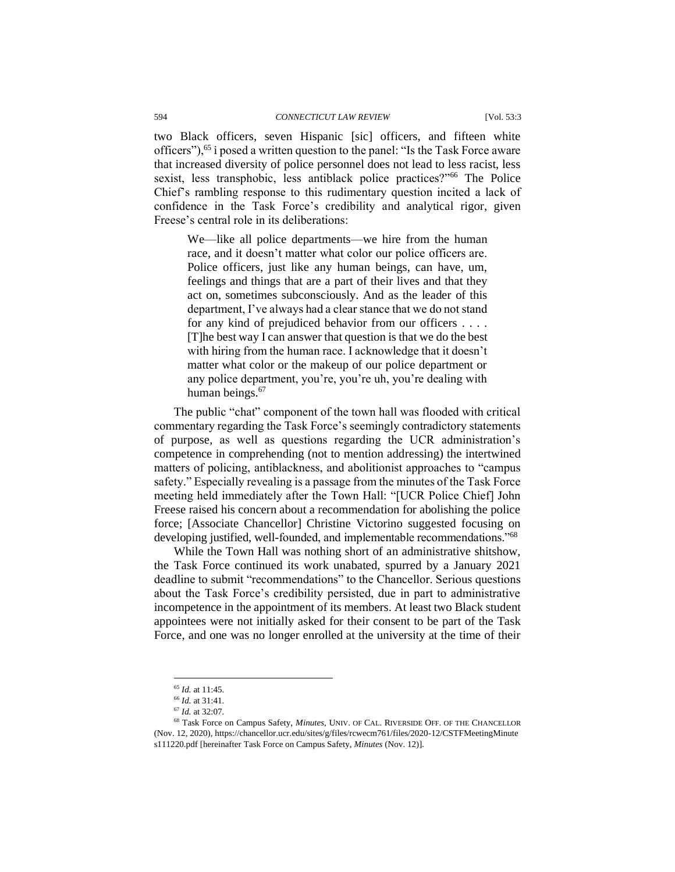two Black officers, seven Hispanic [sic] officers, and fifteen white officers"),<sup>65</sup> i posed a written question to the panel: "Is the Task Force aware that increased diversity of police personnel does not lead to less racist, less sexist, less transphobic, less antiblack police practices?"<sup>66</sup> The Police Chief's rambling response to this rudimentary question incited a lack of confidence in the Task Force's credibility and analytical rigor, given Freese's central role in its deliberations:

We—like all police departments—we hire from the human race, and it doesn't matter what color our police officers are. Police officers, just like any human beings, can have, um, feelings and things that are a part of their lives and that they act on, sometimes subconsciously. And as the leader of this department, I've always had a clear stance that we do not stand for any kind of prejudiced behavior from our officers . . . . [T]he best way I can answer that question is that we do the best with hiring from the human race. I acknowledge that it doesn't matter what color or the makeup of our police department or any police department, you're, you're uh, you're dealing with human beings.<sup>67</sup>

The public "chat" component of the town hall was flooded with critical commentary regarding the Task Force's seemingly contradictory statements of purpose, as well as questions regarding the UCR administration's competence in comprehending (not to mention addressing) the intertwined matters of policing, antiblackness, and abolitionist approaches to "campus safety." Especially revealing is a passage from the minutes of the Task Force meeting held immediately after the Town Hall: "[UCR Police Chief] John Freese raised his concern about a recommendation for abolishing the police force; [Associate Chancellor] Christine Victorino suggested focusing on developing justified, well-founded, and implementable recommendations."<sup>68</sup>

While the Town Hall was nothing short of an administrative shitshow, the Task Force continued its work unabated, spurred by a January 2021 deadline to submit "recommendations" to the Chancellor. Serious questions about the Task Force's credibility persisted, due in part to administrative incompetence in the appointment of its members. At least two Black student appointees were not initially asked for their consent to be part of the Task Force, and one was no longer enrolled at the university at the time of their

<sup>65</sup> *Id.* at 11:45.

<sup>66</sup> *Id.* at 31:41.

<sup>67</sup> *Id.* at 32:07.

<sup>68</sup> Task Force on Campus Safety, *Minutes*, UNIV. OF CAL. RIVERSIDE OFF. OF THE CHANCELLOR (Nov. 12, 2020), https://chancellor.ucr.edu/sites/g/files/rcwecm761/files/2020-12/CSTFMeetingMinute s111220.pdf [hereinafter Task Force on Campus Safety, *Minutes* (Nov. 12)].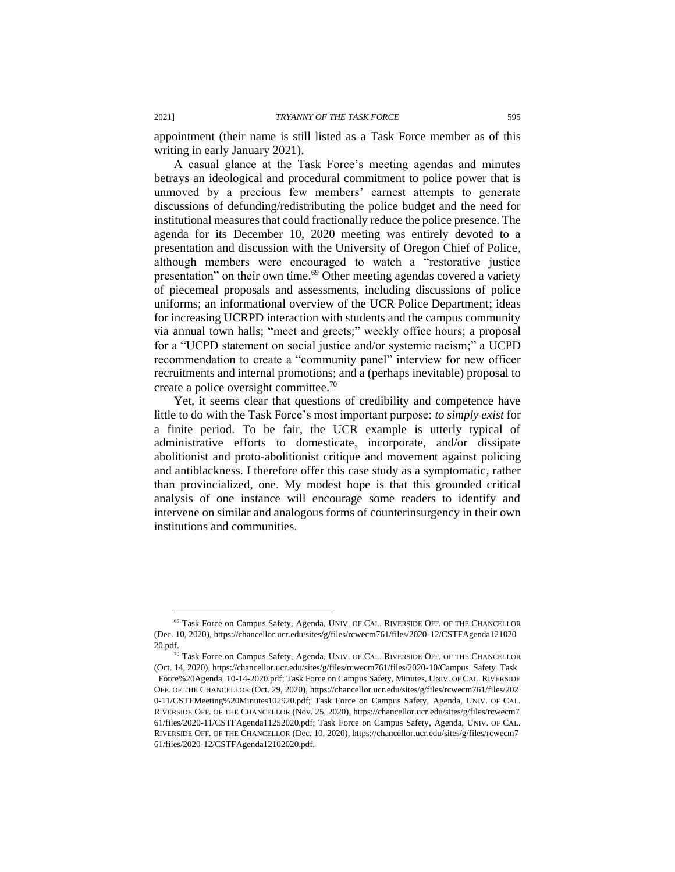appointment (their name is still listed as a Task Force member as of this writing in early January 2021).

A casual glance at the Task Force's meeting agendas and minutes betrays an ideological and procedural commitment to police power that is unmoved by a precious few members' earnest attempts to generate discussions of defunding/redistributing the police budget and the need for institutional measures that could fractionally reduce the police presence. The agenda for its December 10, 2020 meeting was entirely devoted to a presentation and discussion with the University of Oregon Chief of Police, although members were encouraged to watch a "restorative justice presentation" on their own time.<sup>69</sup> Other meeting agendas covered a variety of piecemeal proposals and assessments, including discussions of police uniforms; an informational overview of the UCR Police Department; ideas for increasing UCRPD interaction with students and the campus community via annual town halls; "meet and greets;" weekly office hours; a proposal for a "UCPD statement on social justice and/or systemic racism;" a UCPD recommendation to create a "community panel" interview for new officer recruitments and internal promotions; and a (perhaps inevitable) proposal to create a police oversight committee.<sup>70</sup>

Yet, it seems clear that questions of credibility and competence have little to do with the Task Force's most important purpose: *to simply exist* for a finite period. To be fair, the UCR example is utterly typical of administrative efforts to domesticate, incorporate, and/or dissipate abolitionist and proto-abolitionist critique and movement against policing and antiblackness. I therefore offer this case study as a symptomatic, rather than provincialized, one. My modest hope is that this grounded critical analysis of one instance will encourage some readers to identify and intervene on similar and analogous forms of counterinsurgency in their own institutions and communities.

<sup>69</sup> Task Force on Campus Safety, Agenda, UNIV. OF CAL. RIVERSIDE OFF. OF THE CHANCELLOR (Dec. 10, 2020), https://chancellor.ucr.edu/sites/g/files/rcwecm761/files/2020-12/CSTFAgenda121020 20.pdf.

<sup>70</sup> Task Force on Campus Safety, Agenda, UNIV. OF CAL. RIVERSIDE OFF. OF THE CHANCELLOR (Oct. 14, 2020), https://chancellor.ucr.edu/sites/g/files/rcwecm761/files/2020-10/Campus\_Safety\_Task \_Force%20Agenda\_10-14-2020.pdf; Task Force on Campus Safety, Minutes, UNIV. OF CAL. RIVERSIDE OFF. OF THE CHANCELLOR (Oct. 29, 2020), https://chancellor.ucr.edu/sites/g/files/rcwecm761/files/202 0-11/CSTFMeeting%20Minutes102920.pdf; Task Force on Campus Safety, Agenda, UNIV. OF CAL*.* RIVERSIDE OFF. OF THE CHANCELLOR (Nov. 25, 2020), https://chancellor.ucr.edu/sites/g/files/rcwecm7 61/files/2020-11/CSTFAgenda11252020.pdf; Task Force on Campus Safety, Agenda, UNIV. OF CAL. RIVERSIDE OFF. OF THE CHANCELLOR (Dec. 10, 2020), https://chancellor.ucr.edu/sites/g/files/rcwecm7 61/files/2020-12/CSTFAgenda12102020.pdf.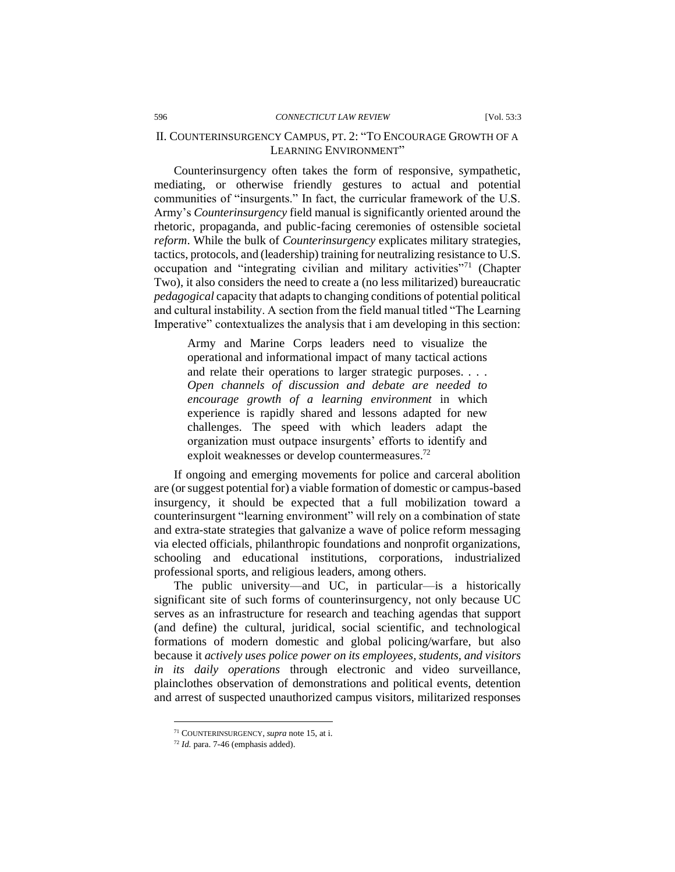Counterinsurgency often takes the form of responsive, sympathetic, mediating, or otherwise friendly gestures to actual and potential communities of "insurgents." In fact, the curricular framework of the U.S. Army's *Counterinsurgency* field manual is significantly oriented around the rhetoric, propaganda, and public-facing ceremonies of ostensible societal *reform*. While the bulk of *Counterinsurgency* explicates military strategies, tactics, protocols, and (leadership) training for neutralizing resistance to U.S. occupation and "integrating civilian and military activities"<sup>71</sup> (Chapter Two), it also considers the need to create a (no less militarized) bureaucratic *pedagogical* capacity that adapts to changing conditions of potential political and cultural instability. A section from the field manual titled "The Learning Imperative" contextualizes the analysis that i am developing in this section:

Army and Marine Corps leaders need to visualize the operational and informational impact of many tactical actions and relate their operations to larger strategic purposes. . . . *Open channels of discussion and debate are needed to encourage growth of a learning environment* in which experience is rapidly shared and lessons adapted for new challenges. The speed with which leaders adapt the organization must outpace insurgents' efforts to identify and exploit weaknesses or develop countermeasures.<sup>72</sup>

If ongoing and emerging movements for police and carceral abolition are (or suggest potential for) a viable formation of domestic or campus-based insurgency, it should be expected that a full mobilization toward a counterinsurgent "learning environment" will rely on a combination of state and extra-state strategies that galvanize a wave of police reform messaging via elected officials, philanthropic foundations and nonprofit organizations, schooling and educational institutions, corporations, industrialized professional sports, and religious leaders, among others.

The public university—and UC, in particular—is a historically significant site of such forms of counterinsurgency, not only because UC serves as an infrastructure for research and teaching agendas that support (and define) the cultural, juridical, social scientific, and technological formations of modern domestic and global policing/warfare, but also because it *actively uses police power on its employees, students, and visitors in its daily operations* through electronic and video surveillance, plainclothes observation of demonstrations and political events, detention and arrest of suspected unauthorized campus visitors, militarized responses

<sup>71</sup> COUNTERINSURGENCY, *supra* note 15, at i.

<sup>72</sup> *Id.* para. 7-46 (emphasis added).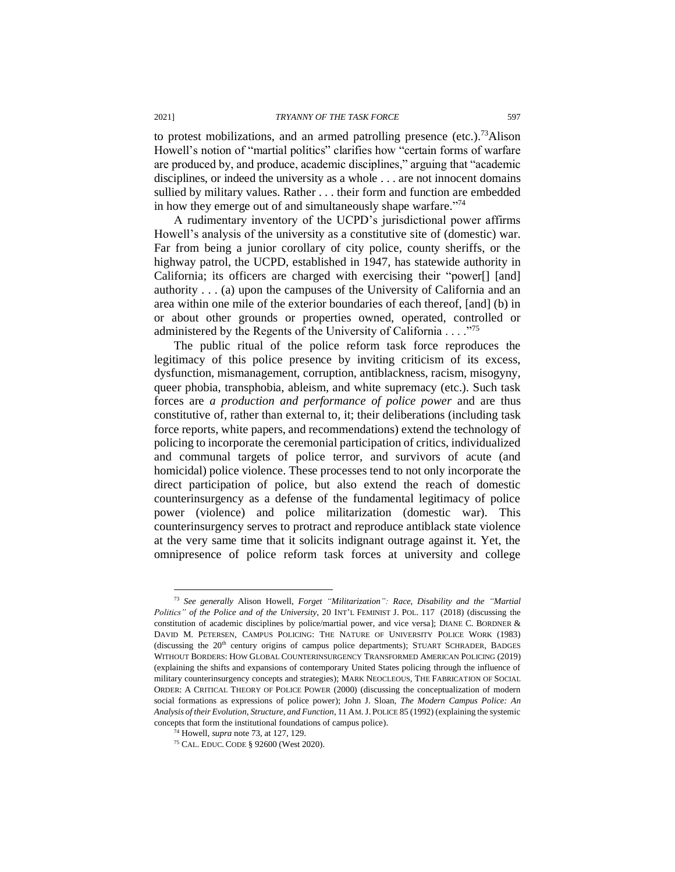to protest mobilizations, and an armed patrolling presence (etc.).<sup>73</sup>Alison Howell's notion of "martial politics" clarifies how "certain forms of warfare are produced by, and produce, academic disciplines," arguing that "academic disciplines, or indeed the university as a whole . . . are not innocent domains sullied by military values. Rather . . . their form and function are embedded in how they emerge out of and simultaneously shape warfare."<sup>74</sup>

A rudimentary inventory of the UCPD's jurisdictional power affirms Howell's analysis of the university as a constitutive site of (domestic) war. Far from being a junior corollary of city police, county sheriffs, or the highway patrol, the UCPD, established in 1947, has statewide authority in California; its officers are charged with exercising their "power[] [and] authority . . . (a) upon the campuses of the University of California and an area within one mile of the exterior boundaries of each thereof, [and] (b) in or about other grounds or properties owned, operated, controlled or administered by the Regents of the University of California . . . ."<sup>75</sup>

The public ritual of the police reform task force reproduces the legitimacy of this police presence by inviting criticism of its excess, dysfunction, mismanagement, corruption, antiblackness, racism, misogyny, queer phobia, transphobia, ableism, and white supremacy (etc.). Such task forces are *a production and performance of police power* and are thus constitutive of, rather than external to, it; their deliberations (including task force reports, white papers, and recommendations) extend the technology of policing to incorporate the ceremonial participation of critics, individualized and communal targets of police terror, and survivors of acute (and homicidal) police violence. These processes tend to not only incorporate the direct participation of police, but also extend the reach of domestic counterinsurgency as a defense of the fundamental legitimacy of police power (violence) and police militarization (domestic war). This counterinsurgency serves to protract and reproduce antiblack state violence at the very same time that it solicits indignant outrage against it. Yet, the omnipresence of police reform task forces at university and college

<sup>73</sup> *See generally* Alison Howell, *Forget "Militarization": Race, Disability and the "Martial Politics" of the Police and of the University*, 20 INT'L FEMINIST J. POL. 117 (2018) (discussing the constitution of academic disciplines by police/martial power, and vice versa]; DIANE C. BORDNER & DAVID M. PETERSEN, CAMPUS POLICING: THE NATURE OF UNIVERSITY POLICE WORK (1983) (discussing the  $20<sup>th</sup>$  century origins of campus police departments); STUART SCHRADER, BADGES WITHOUT BORDERS: HOW GLOBAL COUNTERINSURGENCY TRANSFORMED AMERICAN POLICING (2019) (explaining the shifts and expansions of contemporary United States policing through the influence of military counterinsurgency concepts and strategies); MARK NEOCLEOUS, THE FABRICATION OF SOCIAL ORDER: A CRITICAL THEORY OF POLICE POWER (2000) (discussing the conceptualization of modern social formations as expressions of police power); John J. Sloan, *The Modern Campus Police: An Analysis of their Evolution, Structure, and Function*, 11 AM.J. POLICE 85 (1992) (explaining the systemic concepts that form the institutional foundations of campus police).

<sup>74</sup> Howell, *supra* note 73, at 127, 129.

<sup>75</sup> CAL. EDUC. CODE § 92600 (West 2020).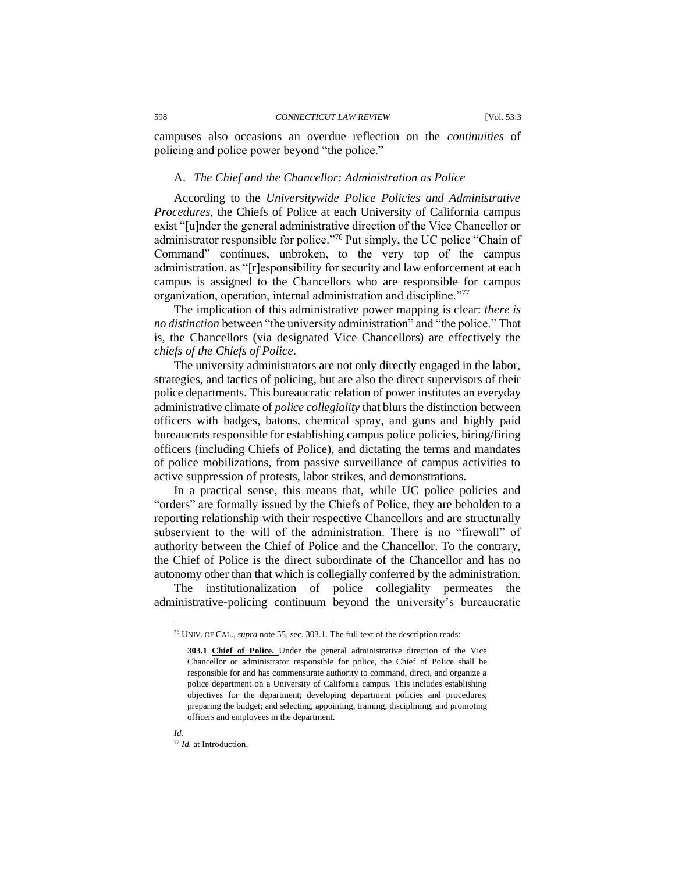campuses also occasions an overdue reflection on the *continuities* of policing and police power beyond "the police."

#### A. *The Chief and the Chancellor: Administration as Police*

According to the *Universitywide Police Policies and Administrative Procedures*, the Chiefs of Police at each University of California campus exist "[u]nder the general administrative direction of the Vice Chancellor or administrator responsible for police."<sup>76</sup> Put simply, the UC police "Chain of Command" continues, unbroken, to the very top of the campus administration, as "[r]esponsibility for security and law enforcement at each campus is assigned to the Chancellors who are responsible for campus organization, operation, internal administration and discipline."<sup>77</sup>

The implication of this administrative power mapping is clear: *there is no distinction* between "the university administration" and "the police." That is, the Chancellors (via designated Vice Chancellors) are effectively the *chiefs of the Chiefs of Police*.

The university administrators are not only directly engaged in the labor, strategies, and tactics of policing, but are also the direct supervisors of their police departments. This bureaucratic relation of power institutes an everyday administrative climate of *police collegiality* that blurs the distinction between officers with badges, batons, chemical spray, and guns and highly paid bureaucrats responsible for establishing campus police policies, hiring/firing officers (including Chiefs of Police), and dictating the terms and mandates of police mobilizations, from passive surveillance of campus activities to active suppression of protests, labor strikes, and demonstrations.

In a practical sense, this means that, while UC police policies and "orders" are formally issued by the Chiefs of Police, they are beholden to a reporting relationship with their respective Chancellors and are structurally subservient to the will of the administration. There is no "firewall" of authority between the Chief of Police and the Chancellor. To the contrary, the Chief of Police is the direct subordinate of the Chancellor and has no autonomy other than that which is collegially conferred by the administration.

The institutionalization of police collegiality permeates the administrative-policing continuum beyond the university's bureaucratic

*Id.*

<sup>76</sup> UNIV. OF CAL., *supra* note 55, sec. 303.1. The full text of the description reads:

**<sup>303.1</sup> Chief of Police.** Under the general administrative direction of the Vice Chancellor or administrator responsible for police, the Chief of Police shall be responsible for and has commensurate authority to command, direct, and organize a police department on a University of California campus. This includes establishing objectives for the department; developing department policies and procedures; preparing the budget; and selecting, appointing, training, disciplining, and promoting officers and employees in the department.

<sup>77</sup> *Id.* at Introduction.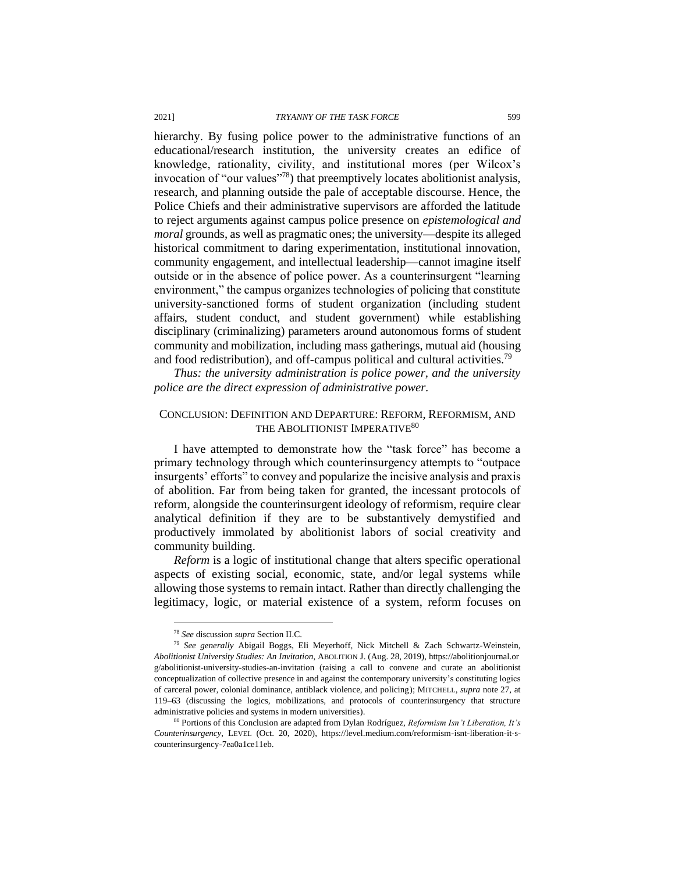hierarchy. By fusing police power to the administrative functions of an educational/research institution, the university creates an edifice of knowledge, rationality, civility, and institutional mores (per Wilcox's invocation of "our values"<sup>78</sup>) that preemptively locates abolitionist analysis, research, and planning outside the pale of acceptable discourse. Hence, the Police Chiefs and their administrative supervisors are afforded the latitude to reject arguments against campus police presence on *epistemological and moral* grounds, as well as pragmatic ones; the university—despite its alleged historical commitment to daring experimentation, institutional innovation, community engagement, and intellectual leadership—cannot imagine itself outside or in the absence of police power. As a counterinsurgent "learning environment," the campus organizes technologies of policing that constitute university-sanctioned forms of student organization (including student affairs, student conduct, and student government) while establishing disciplinary (criminalizing) parameters around autonomous forms of student community and mobilization, including mass gatherings, mutual aid (housing and food redistribution), and off-campus political and cultural activities.<sup>79</sup>

*Thus: the university administration is police power, and the university police are the direct expression of administrative power.*

## CONCLUSION: DEFINITION AND DEPARTURE: REFORM, REFORMISM, AND THE ABOLITIONIST IMPERATIVE<sup>80</sup>

I have attempted to demonstrate how the "task force" has become a primary technology through which counterinsurgency attempts to "outpace insurgents' efforts" to convey and popularize the incisive analysis and praxis of abolition. Far from being taken for granted, the incessant protocols of reform, alongside the counterinsurgent ideology of reformism, require clear analytical definition if they are to be substantively demystified and productively immolated by abolitionist labors of social creativity and community building.

*Reform* is a logic of institutional change that alters specific operational aspects of existing social, economic, state, and/or legal systems while allowing those systems to remain intact. Rather than directly challenging the legitimacy, logic, or material existence of a system, reform focuses on

<sup>78</sup> *See* discussion *supra* Section II.C.

<sup>79</sup> *See generally* Abigail Boggs, Eli Meyerhoff, Nick Mitchell & Zach Schwartz-Weinstein, *Abolitionist University Studies: An Invitation*, ABOLITION J. (Aug. 28, 2019), https://abolitionjournal.or g/abolitionist-university-studies-an-invitation (raising a call to convene and curate an abolitionist conceptualization of collective presence in and against the contemporary university's constituting logics of carceral power, colonial dominance, antiblack violence, and policing); MITCHELL, *supra* note 27, at 119–63 (discussing the logics, mobilizations, and protocols of counterinsurgency that structure administrative policies and systems in modern universities).

<sup>80</sup> Portions of this Conclusion are adapted from Dylan Rodríguez, *Reformism Isn't Liberation, It's Counterinsurgency*, LEVEL (Oct. 20, 2020), https://level.medium.com/reformism-isnt-liberation-it-scounterinsurgency-7ea0a1ce11eb.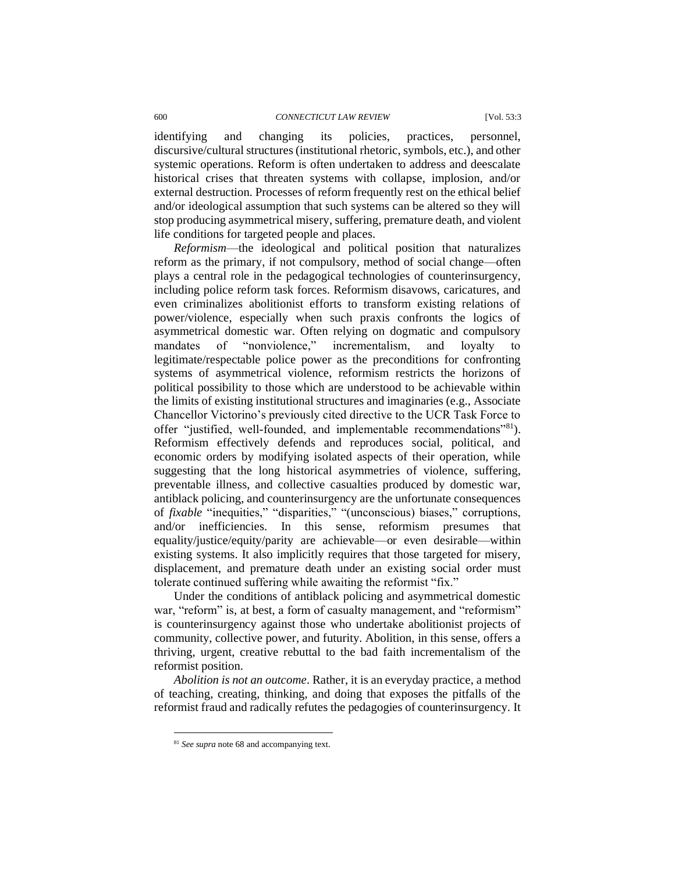#### 600 *CONNECTICUT LAW REVIEW* [Vol. 53:3

identifying and changing its policies, practices, personnel, discursive/cultural structures (institutional rhetoric, symbols, etc.), and other systemic operations. Reform is often undertaken to address and deescalate historical crises that threaten systems with collapse, implosion, and/or external destruction. Processes of reform frequently rest on the ethical belief and/or ideological assumption that such systems can be altered so they will stop producing asymmetrical misery, suffering, premature death, and violent life conditions for targeted people and places.

*Reformism*—the ideological and political position that naturalizes reform as the primary, if not compulsory, method of social change—often plays a central role in the pedagogical technologies of counterinsurgency, including police reform task forces. Reformism disavows, caricatures, and even criminalizes abolitionist efforts to transform existing relations of power/violence, especially when such praxis confronts the logics of asymmetrical domestic war. Often relying on dogmatic and compulsory mandates of "nonviolence," incrementalism, and loyalty to legitimate/respectable police power as the preconditions for confronting systems of asymmetrical violence, reformism restricts the horizons of political possibility to those which are understood to be achievable within the limits of existing institutional structures and imaginaries (e.g., Associate Chancellor Victorino's previously cited directive to the UCR Task Force to offer "justified, well-founded, and implementable recommendations"<sup>81</sup>). Reformism effectively defends and reproduces social, political, and economic orders by modifying isolated aspects of their operation, while suggesting that the long historical asymmetries of violence, suffering, preventable illness, and collective casualties produced by domestic war, antiblack policing, and counterinsurgency are the unfortunate consequences of *fixable* "inequities," "disparities," "(unconscious) biases," corruptions, and/or inefficiencies. In this sense, reformism presumes that equality/justice/equity/parity are achievable—or even desirable—within existing systems. It also implicitly requires that those targeted for misery, displacement, and premature death under an existing social order must tolerate continued suffering while awaiting the reformist "fix."

Under the conditions of antiblack policing and asymmetrical domestic war, "reform" is, at best, a form of casualty management, and "reformism" is counterinsurgency against those who undertake abolitionist projects of community, collective power, and futurity. Abolition, in this sense, offers a thriving, urgent, creative rebuttal to the bad faith incrementalism of the reformist position.

*Abolition is not an outcome*. Rather, it is an everyday practice, a method of teaching, creating, thinking, and doing that exposes the pitfalls of the reformist fraud and radically refutes the pedagogies of counterinsurgency. It

<sup>81</sup> *See supra* note 68 and accompanying text.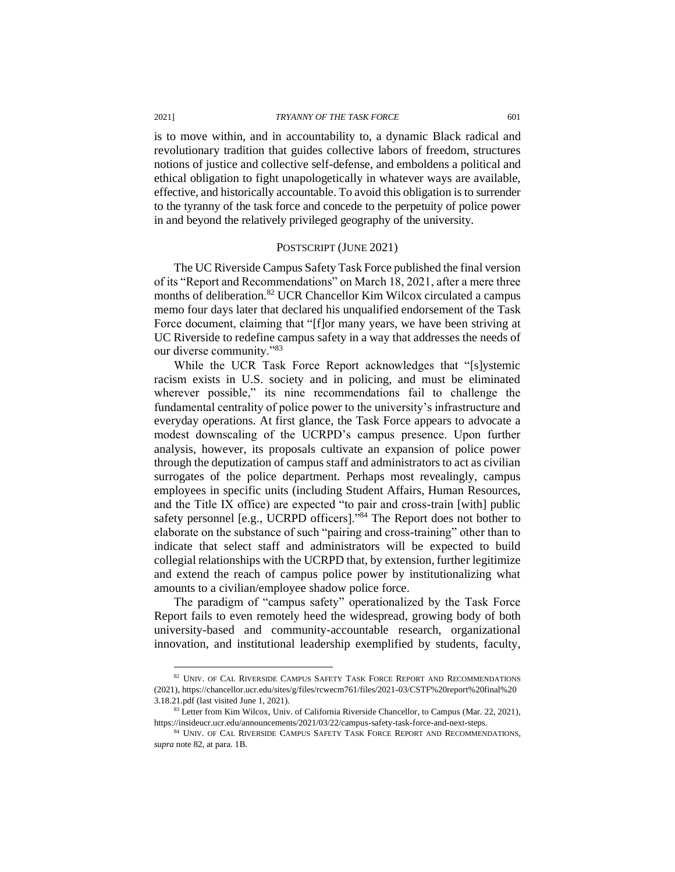is to move within, and in accountability to, a dynamic Black radical and revolutionary tradition that guides collective labors of freedom, structures notions of justice and collective self-defense, and emboldens a political and ethical obligation to fight unapologetically in whatever ways are available, effective, and historically accountable. To avoid this obligation is to surrender to the tyranny of the task force and concede to the perpetuity of police power in and beyond the relatively privileged geography of the university.

#### POSTSCRIPT (JUNE 2021)

The UC Riverside Campus Safety Task Force published the final version of its "Report and Recommendations" on March 18, 2021, after a mere three months of deliberation.<sup>82</sup> UCR Chancellor Kim Wilcox circulated a campus memo four days later that declared his unqualified endorsement of the Task Force document, claiming that "[f]or many years, we have been striving at UC Riverside to redefine campus safety in a way that addresses the needs of our diverse community."<sup>83</sup>

While the UCR Task Force Report acknowledges that "[s]ystemic racism exists in U.S. society and in policing, and must be eliminated wherever possible," its nine recommendations fail to challenge the fundamental centrality of police power to the university's infrastructure and everyday operations. At first glance, the Task Force appears to advocate a modest downscaling of the UCRPD's campus presence. Upon further analysis, however, its proposals cultivate an expansion of police power through the deputization of campus staff and administrators to act as civilian surrogates of the police department. Perhaps most revealingly, campus employees in specific units (including Student Affairs, Human Resources, and the Title IX office) are expected "to pair and cross-train [with] public safety personnel [e.g., UCRPD officers]."<sup>84</sup> The Report does not bother to elaborate on the substance of such "pairing and cross-training" other than to indicate that select staff and administrators will be expected to build collegial relationships with the UCRPD that, by extension, further legitimize and extend the reach of campus police power by institutionalizing what amounts to a civilian/employee shadow police force.

The paradigm of "campus safety" operationalized by the Task Force Report fails to even remotely heed the widespread, growing body of both university-based and community-accountable research, organizational innovation, and institutional leadership exemplified by students, faculty,

<sup>&</sup>lt;sup>82</sup> UNIV. OF CAL RIVERSIDE CAMPUS SAFETY TASK FORCE REPORT AND RECOMMENDATIONS (2021), https://chancellor.ucr.edu/sites/g/files/rcwecm761/files/2021-03/CSTF%20report%20final%20 3.18.21.pdf (last visited June 1, 2021).

<sup>83</sup> Letter from Kim Wilcox, Univ. of California Riverside Chancellor, to Campus (Mar. 22, 2021), https://insideucr.ucr.edu/announcements/2021/03/22/campus-safety-task-force-and-next-steps.

 $^{84}$  UNIV. OF CAL RIVERSIDE CAMPUS SAFETY TASK FORCE REPORT AND RECOMMENDATIONS, *supra* note 82, at para. 1B.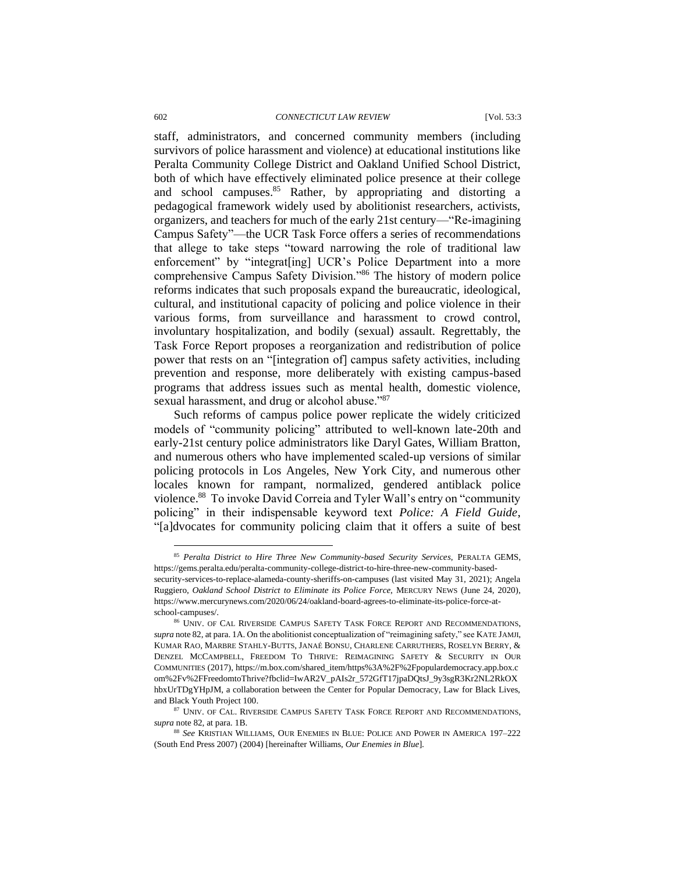#### 602 *CONNECTICUT LAW REVIEW* [Vol. 53:3

staff, administrators, and concerned community members (including survivors of police harassment and violence) at educational institutions like Peralta Community College District and Oakland Unified School District, both of which have effectively eliminated police presence at their college and school campuses.<sup>85</sup> Rather, by appropriating and distorting a pedagogical framework widely used by abolitionist researchers, activists, organizers, and teachers for much of the early 21st century—"Re-imagining Campus Safety"—the UCR Task Force offers a series of recommendations that allege to take steps "toward narrowing the role of traditional law enforcement" by "integrat[ing] UCR's Police Department into a more comprehensive Campus Safety Division."<sup>86</sup> The history of modern police reforms indicates that such proposals expand the bureaucratic, ideological, cultural, and institutional capacity of policing and police violence in their various forms, from surveillance and harassment to crowd control, involuntary hospitalization, and bodily (sexual) assault. Regrettably, the Task Force Report proposes a reorganization and redistribution of police power that rests on an "[integration of] campus safety activities, including prevention and response, more deliberately with existing campus-based programs that address issues such as mental health, domestic violence, sexual harassment, and drug or alcohol abuse."<sup>87</sup>

Such reforms of campus police power replicate the widely criticized models of "community policing" attributed to well-known late-20th and early-21st century police administrators like Daryl Gates, William Bratton, and numerous others who have implemented scaled-up versions of similar policing protocols in Los Angeles, New York City, and numerous other locales known for rampant, normalized, gendered antiblack police violence.<sup>88</sup> To invoke David Correia and Tyler Wall's entry on "community policing" in their indispensable keyword text *Police: A Field Guide*, "[a]dvocates for community policing claim that it offers a suite of best

<sup>85</sup> *Peralta District to Hire Three New Community-based Security Services*, PERALTA GEMS, https://gems.peralta.edu/peralta-community-college-district-to-hire-three-new-community-basedsecurity-services-to-replace-alameda-county-sheriffs-on-campuses (last visited May 31, 2021); Angela Ruggiero, *Oakland School District to Eliminate its Police Force*, MERCURY NEWS (June 24, 2020), https://www.mercurynews.com/2020/06/24/oakland-board-agrees-to-eliminate-its-police-force-atschool-campuses/.

<sup>86</sup> UNIV. OF CAL RIVERSIDE CAMPUS SAFETY TASK FORCE REPORT AND RECOMMENDATIONS, *supra* note 82, at para. 1A. On the abolitionist conceptualization of "reimagining safety," see KATE JAMJI, KUMAR RAO, MARBRE STAHLY-BUTTS, JANAÉ BONSU, CHARLENE CARRUTHERS, ROSELYN BERRY, & DENZEL MCCAMPBELL, FREEDOM TO THRIVE: REIMAGINING SAFETY & SECURITY IN OUR COMMUNITIES (2017), https://m.box.com/shared\_item/https%3A%2F%2Fpopulardemocracy.app.box.c om%2Fv%2FFreedomtoThrive?fbclid=IwAR2V\_pAIs2r\_572GfT17jpaDQtsJ\_9y3sgR3Kr2NL2RkOX hbxUrTDgYHpJM, a collaboration between the Center for Popular Democracy, Law for Black Lives, and Black Youth Project 100.

<sup>87</sup> UNIV. OF CAL. RIVERSIDE CAMPUS SAFETY TASK FORCE REPORT AND RECOMMENDATIONS, *supra* note 82, at para. 1B.

<sup>88</sup> *See* KRISTIAN WILLIAMS, OUR ENEMIES IN BLUE: POLICE AND POWER IN AMERICA 197–222 (South End Press 2007) (2004) [hereinafter Williams, *Our Enemies in Blue*].